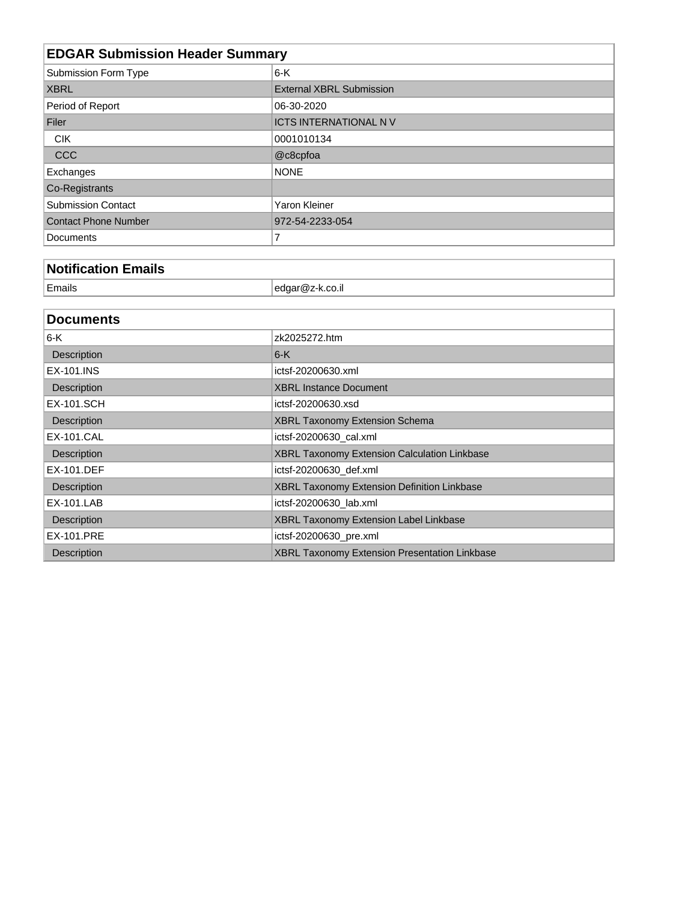| <b>EDGAR Submission Header Summary</b> |                                 |  |  |
|----------------------------------------|---------------------------------|--|--|
| Submission Form Type                   | $6-K$                           |  |  |
| <b>XBRL</b>                            | <b>External XBRL Submission</b> |  |  |
| Period of Report                       | 06-30-2020                      |  |  |
| Filer                                  | <b>ICTS INTERNATIONAL NV</b>    |  |  |
| <b>CIK</b>                             | 0001010134                      |  |  |
| CCC                                    | @c8cpfoa                        |  |  |
| Exchanges                              | <b>NONE</b>                     |  |  |
| Co-Registrants                         |                                 |  |  |
| <b>Submission Contact</b>              | Yaron Kleiner                   |  |  |
| <b>Contact Phone Number</b>            | 972-54-2233-054                 |  |  |
| Documents                              | 7                               |  |  |

# **Notification Emails**

| <b>Contract Contract Contract</b><br>' Fmails |  |
|-----------------------------------------------|--|
|                                               |  |

| <b>Documents</b>  |                                                      |
|-------------------|------------------------------------------------------|
| 6-K               | zk2025272.htm                                        |
| Description       | $6-K$                                                |
| EX-101.INS        | ictsf-20200630.xml                                   |
| Description       | <b>XBRL Instance Document</b>                        |
| <b>EX-101.SCH</b> | ictsf-20200630.xsd                                   |
| Description       | XBRL Taxonomy Extension Schema                       |
| EX-101.CAL        | ictsf-20200630 cal.xml                               |
| Description       | <b>XBRL Taxonomy Extension Calculation Linkbase</b>  |
| EX-101.DEF        | ictsf-20200630_def.xml                               |
| Description       | XBRL Taxonomy Extension Definition Linkbase          |
| EX-101.LAB        | ictsf-20200630 lab.xml                               |
| Description       | XBRL Taxonomy Extension Label Linkbase               |
| EX-101.PRE        | ictsf-20200630_pre.xml                               |
| Description       | <b>XBRL Taxonomy Extension Presentation Linkbase</b> |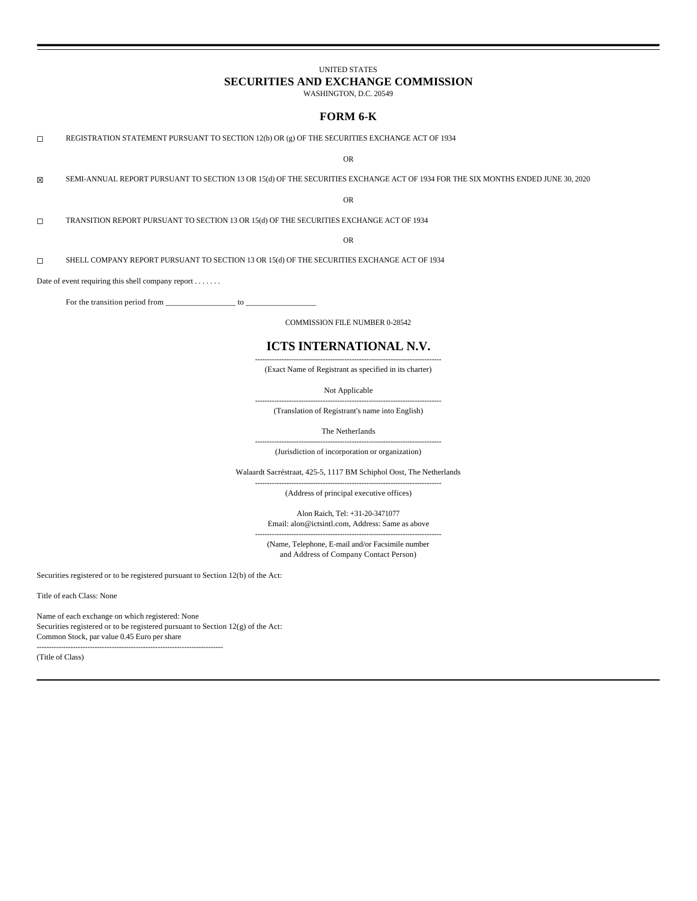# UNITED STATES

# **SECURITIES AND EXCHANGE COMMISSION**

WASHINGTON, D.C. 20549

# **FORM 6-K**

☐ REGISTRATION STATEMENT PURSUANT TO SECTION 12(b) OR (g) OF THE SECURITIES EXCHANGE ACT OF 1934

OR

☒ SEMI-ANNUAL REPORT PURSUANT TO SECTION 13 OR 15(d) OF THE SECURITIES EXCHANGE ACT OF 1934 FOR THE SIX MONTHS ENDED JUNE 30, 2020

OR

☐ TRANSITION REPORT PURSUANT TO SECTION 13 OR 15(d) OF THE SECURITIES EXCHANGE ACT OF 1934

OR

☐ SHELL COMPANY REPORT PURSUANT TO SECTION 13 OR 15(d) OF THE SECURITIES EXCHANGE ACT OF 1934

Date of event requiring this shell company report . . . . . . .

For the transition period from  $\frac{1}{2}$  =  $\frac{1}{2}$  to  $\frac{1}{2}$ 

COMMISSION FILE NUMBER 0-28542

# **ICTS INTERNATIONAL N.V.**

----------------------------------------------------------------------------- (Exact Name of Registrant as specified in its charter)

Not Applicable

----------------------------------------------------------------------------- (Translation of Registrant's name into English)

The Netherlands

----------------------------------------------------------------------------- (Jurisdiction of incorporation or organization)

Walaardt Sacréstraat, 425-5, 1117 BM Schiphol Oost, The Netherlands

----------------------------------------------------------------------------- (Address of principal executive offices)

Alon Raich, Tel: +31-20-3471077 Email: alon@ictsintl.com, Address: Same as above

----------------------------------------------------------------------------- (Name, Telephone, E-mail and/or Facsimile number and Address of Company Contact Person)

Securities registered or to be registered pursuant to Section 12(b) of the Act:

Title of each Class: None

Name of each exchange on which registered: None Securities registered or to be registered pursuant to Section 12(g) of the Act: Common Stock, par value 0.45 Euro per share

-----------------------------------------------------------------------------

(Title of Class)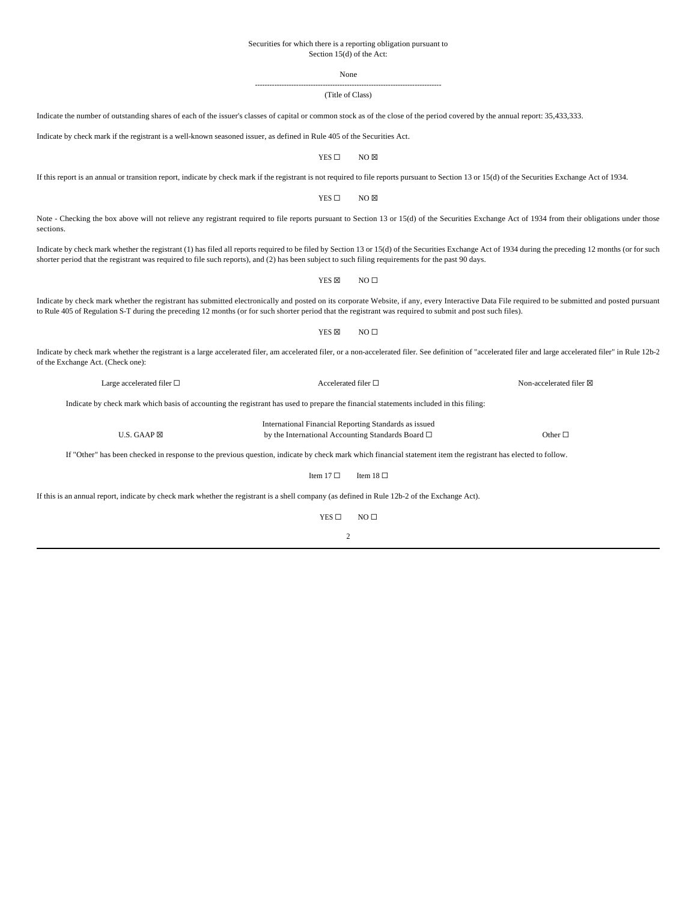#### Securities for which there is a reporting obligation pursuant to Section 15(d) of the Act:

None -----------------------------------------------------------------------------

(Title of Class)

Indicate the number of outstanding shares of each of the issuer's classes of capital or common stock as of the close of the period covered by the annual report: 35,433,333. Indicate by check mark if the registrant is a well-known seasoned issuer, as defined in Rule 405 of the Securities Act. YES □ NO ⊠ If this report is an annual or transition report, indicate by check mark if the registrant is not required to file reports pursuant to Section 13 or 15(d) of the Securities Exchange Act of 1934. YES □ NO ⊠ Note - Checking the box above will not relieve any registrant required to file reports pursuant to Section 13 or 15(d) of the Securities Exchange Act of 1934 from their obligations under those sections. Indicate by check mark whether the registrant (1) has filed all reports required to be filed by Section 13 or 15(d) of the Securities Exchange Act of 1934 during the preceding 12 months (or for such shorter period that the registrant was required to file such reports), and (2) has been subject to such filing requirements for the past 90 days.  $YES \boxtimes$  NO  $\square$ Indicate by check mark whether the registrant has submitted electronically and posted on its corporate Website, if any, every Interactive Data File required to be submitted and posted pursuant to Rule 405 of Regulation S-T during the preceding 12 months (or for such shorter period that the registrant was required to submit and post such files).  $YES \boxtimes$  NO  $\Box$ Indicate by check mark whether the registrant is a large accelerated filer, am accelerated filer, or a non-accelerated filer. See definition of "accelerated filer and large accelerated filer" in Rule 12b-2 of the Exchange Act. (Check one): Indicate by check mark which basis of accounting the registrant has used to prepare the financial statements included in this filing: If "Other" has been checked in response to the previous question, indicate by check mark which financial statement item the registrant has elected to follow. Item 17  $\Box$  Item 18  $\Box$ If this is an annual report, indicate by check mark whether the registrant is a shell company (as defined in Rule 12b-2 of the Exchange Act). YES □ NO □ Large accelerated filer □ <br>
Accelerated filer □ <br>
Accelerated filer □ Non-accelerated filer ⊠ U.S. GAAP  $\boxtimes$ International Financial Reporting Standards as issued by the International Accounting Standards Board □ Other □

 $\overline{2}$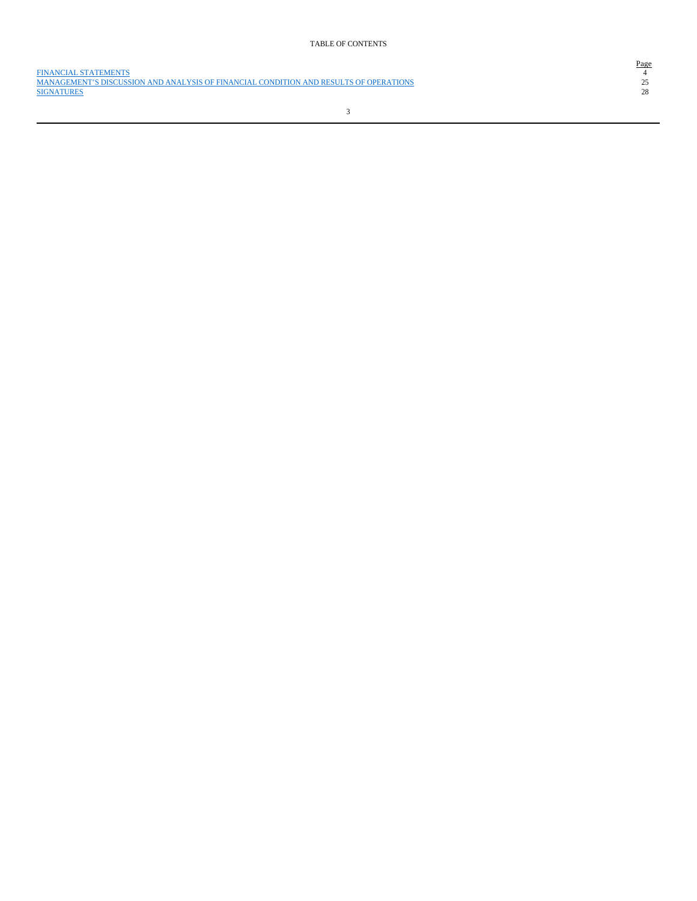FINANCIAL STATEMENTS 4 MANAGEMENT'S DISCUSSION AND ANALYSIS OF FINANCIAL CONDITION AND RESULTS OF OPERATIONS 25 SIGNATURES 28

# $\begin{array}{c}\n \text{Page} \\
 4 \\
 25 \\
 28\n \end{array}$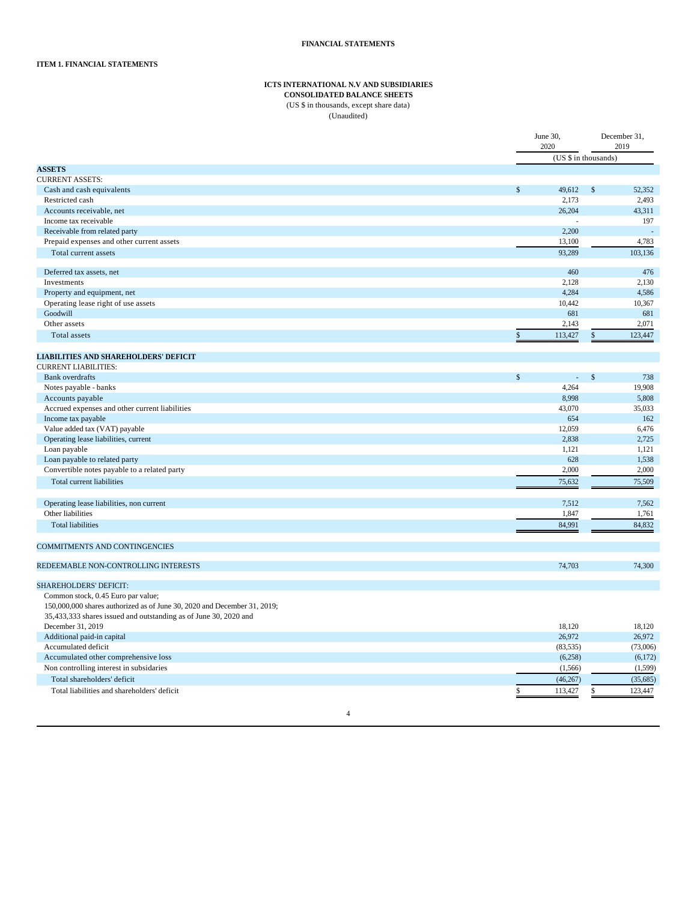# **ICTS INTERNATIONAL N.V AND SUBSIDIARIES**

# **CONSOLIDATED BALANCE SHEETS**

(US \$ in thousands, except share data) (Unaudited)

|                                                                          | June 30,<br>2020 | December 31,<br>2019      |          |
|--------------------------------------------------------------------------|------------------|---------------------------|----------|
|                                                                          |                  | (US \$ in thousands)      |          |
| <b>ASSETS</b>                                                            |                  |                           |          |
| <b>CURRENT ASSETS:</b>                                                   |                  |                           |          |
| Cash and cash equivalents                                                | \$<br>49,612     | $\mathbb{S}$              | 52,352   |
| Restricted cash                                                          |                  | 2,173                     | 2,493    |
| Accounts receivable, net                                                 | 26,204           |                           | 43,311   |
| Income tax receivable                                                    |                  |                           | 197      |
| Receivable from related party                                            |                  | 2,200                     | ÷.       |
| Prepaid expenses and other current assets                                | 13,100           |                           | 4,783    |
| Total current assets                                                     | 93.289           |                           | 103,136  |
| Deferred tax assets, net                                                 |                  | 460                       | 476      |
| Investments                                                              |                  | 2,128                     | 2,130    |
| Property and equipment, net                                              |                  | 4,284                     | 4,586    |
| Operating lease right of use assets                                      | 10,442           |                           | 10,367   |
| Goodwill                                                                 |                  | 681                       | 681      |
| Other assets                                                             | 2,143            |                           | 2,071    |
| Total assets                                                             | \$<br>113,427    | \$                        | 123,447  |
| <b>LIABILITIES AND SHAREHOLDERS' DEFICIT</b>                             |                  |                           |          |
| <b>CURRENT LIABILITIES:</b>                                              |                  |                           |          |
| <b>Bank</b> overdrafts                                                   | $\mathbb S$      | $\mathsf{\$}$<br>$\omega$ | 738      |
| Notes payable - banks                                                    |                  | 4,264                     | 19,908   |
| Accounts payable                                                         |                  | 8,998                     | 5,808    |
| Accrued expenses and other current liabilities                           | 43,070           |                           | 35,033   |
| Income tax payable                                                       |                  | 654                       | 162      |
| Value added tax (VAT) payable                                            | 12,059           |                           | 6,476    |
| Operating lease liabilities, current                                     |                  | 2,838                     | 2,725    |
| Loan payable                                                             | 1,121            |                           | 1,121    |
| Loan payable to related party                                            |                  | 628                       | 1,538    |
| Convertible notes payable to a related party                             | 2,000            |                           | 2,000    |
| Total current liabilities                                                | 75,632           |                           | 75,509   |
| Operating lease liabilities, non current                                 |                  | 7,512                     | 7,562    |
| Other liabilities                                                        | 1,847            |                           | 1,761    |
| <b>Total liabilities</b>                                                 | 84,991           |                           | 84,832   |
| <b>COMMITMENTS AND CONTINGENCIES</b>                                     |                  |                           |          |
|                                                                          |                  |                           |          |
| REDEEMABLE NON-CONTROLLING INTERESTS                                     | 74,703           |                           | 74,300   |
| <b>SHAREHOLDERS' DEFICIT:</b>                                            |                  |                           |          |
| Common stock, 0.45 Euro par value;                                       |                  |                           |          |
| 150,000,000 shares authorized as of June 30, 2020 and December 31, 2019; |                  |                           |          |
| 35,433,333 shares issued and outstanding as of June 30, 2020 and         |                  |                           |          |
| December 31, 2019                                                        | 18,120           |                           | 18,120   |
| Additional paid-in capital                                               | 26,972           |                           | 26,972   |
| Accumulated deficit                                                      | (83, 535)        |                           | (73,006) |
| Accumulated other comprehensive loss                                     |                  | (6,258)                   | (6,172)  |
| Non controlling interest in subsidaries                                  | (1, 566)         |                           | (1, 599) |
| Total shareholders' deficit                                              | (46, 267)        |                           | (35,685) |
| Total liabilities and shareholders' deficit                              | 113,427<br>\$    | \$                        | 123,447  |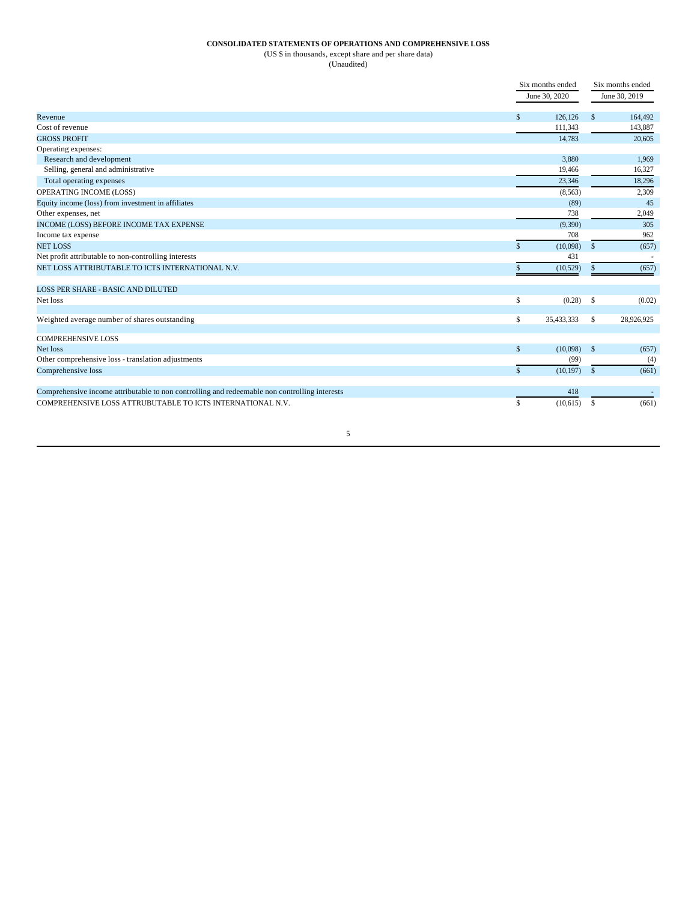# **CONSOLIDATED STATEMENTS OF OPERATIONS AND COMPREHENSIVE LOSS**

(US \$ in thousands, except share and per share data)

(Unaudited)

|                                                                                               |              | Six months ended<br>June 30, 2020 |               | Six months ended<br>June 30, 2019 |  |
|-----------------------------------------------------------------------------------------------|--------------|-----------------------------------|---------------|-----------------------------------|--|
| Revenue                                                                                       | \$           | 126,126                           | $\mathbb{S}$  | 164,492                           |  |
| Cost of revenue                                                                               |              | 111,343                           |               | 143,887                           |  |
| <b>GROSS PROFIT</b>                                                                           |              | 14,783                            |               | 20,605                            |  |
| Operating expenses:                                                                           |              |                                   |               |                                   |  |
| Research and development                                                                      |              | 3,880                             |               | 1,969                             |  |
| Selling, general and administrative                                                           |              | 19,466                            |               | 16,327                            |  |
| Total operating expenses                                                                      |              | 23.346                            |               | 18.296                            |  |
| OPERATING INCOME (LOSS)                                                                       |              | (8,563)                           |               | 2,309                             |  |
| Equity income (loss) from investment in affiliates                                            |              | (89)                              |               | 45                                |  |
| Other expenses, net                                                                           |              | 738                               |               | 2,049                             |  |
| INCOME (LOSS) BEFORE INCOME TAX EXPENSE                                                       |              | (9,390)                           |               | 305                               |  |
| Income tax expense                                                                            |              | 708                               |               | 962                               |  |
| <b>NET LOSS</b>                                                                               | \$           | (10,098)                          | $\mathbf{s}$  | (657)                             |  |
| Net profit attributable to non-controlling interests                                          |              | 431                               |               |                                   |  |
| NET LOSS ATTRIBUTABLE TO ICTS INTERNATIONAL N.V.                                              | \$           | (10,529)                          | $\mathbb{S}$  | (657)                             |  |
| LOSS PER SHARE - BASIC AND DILUTED                                                            |              |                                   |               |                                   |  |
| Net loss                                                                                      | \$           | (0.28)                            | $\mathbf{s}$  | (0.02)                            |  |
| Weighted average number of shares outstanding                                                 | \$           | 35,433,333                        | \$            | 28,926,925                        |  |
| <b>COMPREHENSIVE LOSS</b>                                                                     |              |                                   |               |                                   |  |
| Net loss                                                                                      | \$           | (10,098)                          | $\mathbb{S}$  | (657)                             |  |
| Other comprehensive loss - translation adjustments                                            |              | (99)                              |               | (4)                               |  |
| Comprehensive loss                                                                            | $\mathbf{s}$ | (10, 197)                         | $\mathbf{s}$  | (661)                             |  |
| Comprehensive income attributable to non controlling and redeemable non controlling interests |              | 418                               |               |                                   |  |
| COMPREHENSIVE LOSS ATTRUBUTABLE TO ICTS INTERNATIONAL N.V.                                    | \$           | (10,615)                          | <sup>\$</sup> | (661)                             |  |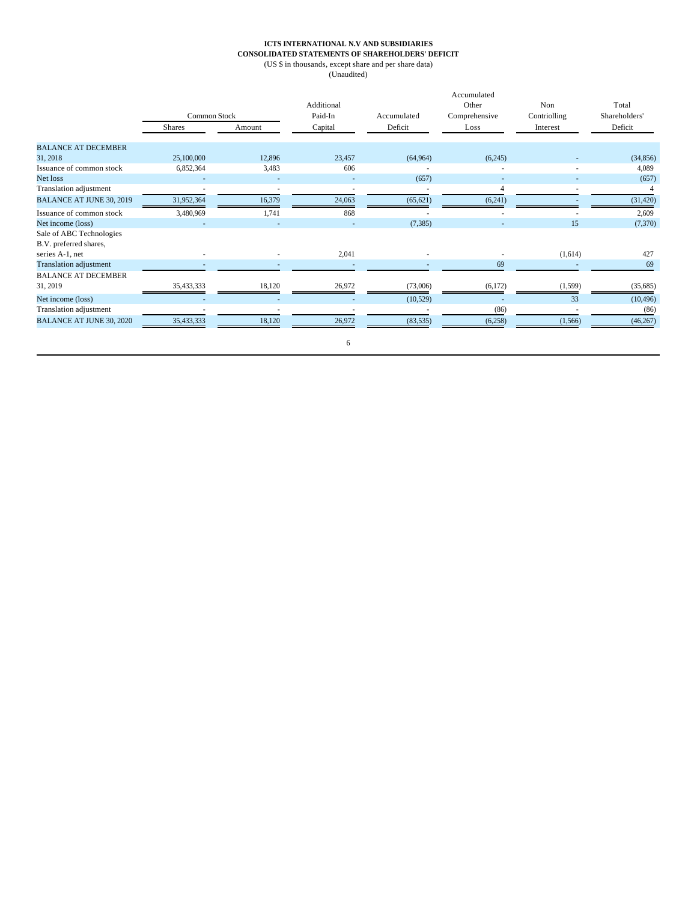## **ICTS INTERNATIONAL N.V AND SUBSIDIARIES CONSOLIDATED STATEMENTS OF SHAREHOLDERS' DEFICIT**

(US \$ in thousands, except share and per share data)

(Unaudited)

|                                                    | <b>Common Stock</b> |        | Additional<br>Paid-In | Accumulated | Accumulated<br>Other<br>Comprehensive | Non<br>Contriolling | Total<br>Shareholders' |
|----------------------------------------------------|---------------------|--------|-----------------------|-------------|---------------------------------------|---------------------|------------------------|
|                                                    | <b>Shares</b>       | Amount | Capital               | Deficit     | Loss                                  | Interest            | Deficit                |
| <b>BALANCE AT DECEMBER</b>                         |                     |        |                       |             |                                       |                     |                        |
| 31, 2018                                           | 25,100,000          | 12,896 | 23,457                | (64, 964)   | (6,245)                               |                     | (34, 856)              |
| Issuance of common stock                           | 6,852,364           | 3,483  | 606                   | ٠           | ٠                                     |                     | 4,089                  |
| Net loss                                           |                     |        |                       | (657)       | $\overline{\phantom{a}}$              |                     | (657)                  |
| Translation adjustment                             |                     |        |                       |             |                                       |                     |                        |
| BALANCE AT JUNE 30, 2019                           | 31,952,364          | 16,379 | 24,063                | (65, 621)   | (6,241)                               |                     | (31, 420)              |
| Issuance of common stock                           | 3,480,969           | 1,741  | 868                   |             | ٠                                     |                     | 2,609                  |
| Net income (loss)                                  |                     |        |                       | (7, 385)    |                                       | 15                  | (7,370)                |
| Sale of ABC Technologies<br>B.V. preferred shares, |                     |        |                       |             |                                       |                     |                        |
| series A-1, net                                    |                     |        | 2,041                 |             |                                       | (1,614)             | 427                    |
| <b>Translation adjustment</b>                      |                     |        |                       |             | 69                                    |                     | 69                     |
| <b>BALANCE AT DECEMBER</b><br>31, 2019             | 35,433,333          | 18,120 | 26,972                | (73,006)    | (6,172)                               | (1,599)             | (35,685)               |
| Net income (loss)                                  |                     |        |                       | (10, 529)   |                                       | 33                  | (10, 496)              |
| Translation adjustment                             |                     |        |                       |             | (86)                                  |                     | (86)                   |
| <b>BALANCE AT JUNE 30, 2020</b>                    | 35,433,333          | 18,120 | 26,972                | (83, 535)   | (6,258)                               | (1, 566)            | (46, 267)              |
|                                                    |                     |        | 6                     |             |                                       |                     |                        |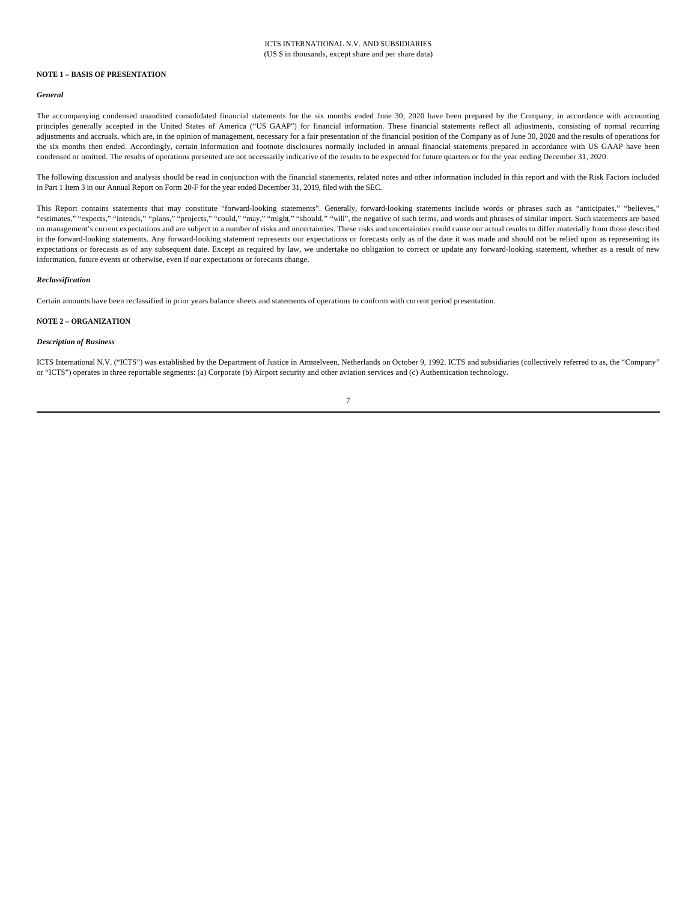#### **NOTE 1 – BASIS OF PRESENTATION**

#### *General*

The accompanying condensed unaudited consolidated financial statements for the six months ended June 30, 2020 have been prepared by the Company, in accordance with accounting principles generally accepted in the United States of America ("US GAAP") for financial information. These financial statements reflect all adjustments, consisting of normal recurring adjustments and accruals, which are, in the opinion of management, necessary for a fair presentation of the financial position of the Company as of June 30, 2020 and the results of operations for the six months then ended. Accordingly, certain information and footnote disclosures normally included in annual financial statements prepared in accordance with US GAAP have been condensed or omitted. The results of operations presented are not necessarily indicative of the results to be expected for future quarters or for the year ending December 31, 2020.

The following discussion and analysis should be read in conjunction with the financial statements, related notes and other information included in this report and with the Risk Factors included in Part 1 Item 3 in our Annual Report on Form 20-F for the year ended December 31, 2019, filed with the SEC.

This Report contains statements that may constitute "forward-looking statements". Generally, forward-looking statements include words or phrases such as "anticipates," "believes," "estimates," "expects," "intends," "plans," "projects," "could," "may," "might," "should," "will", the negative of such terms, and words and phrases of similar import. Such statements are based on management's current expectations and are subject to a number of risks and uncertainties. These risks and uncertainties could cause our actual results to differ materially from those described in the forward-looking statements. Any forward-looking statement represents our expectations or forecasts only as of the date it was made and should not be relied upon as representing its expectations or forecasts as of any subsequent date. Except as required by law, we undertake no obligation to correct or update any forward-looking statement, whether as a result of new information, future events or otherwise, even if our expectations or forecasts change.

#### *Reclassification*

Certain amounts have been reclassified in prior years balance sheets and statements of operations to conform with current period presentation.

#### **NOTE 2 – ORGANIZATION**

#### *Description of Business*

ICTS International N.V. ("ICTS") was established by the Department of Justice in Amstelveen, Netherlands on October 9, 1992. ICTS and subsidiaries (collectively referred to as, the "Company" or "ICTS") operates in three reportable segments: (a) Corporate (b) Airport security and other aviation services and (c) Authentication technology.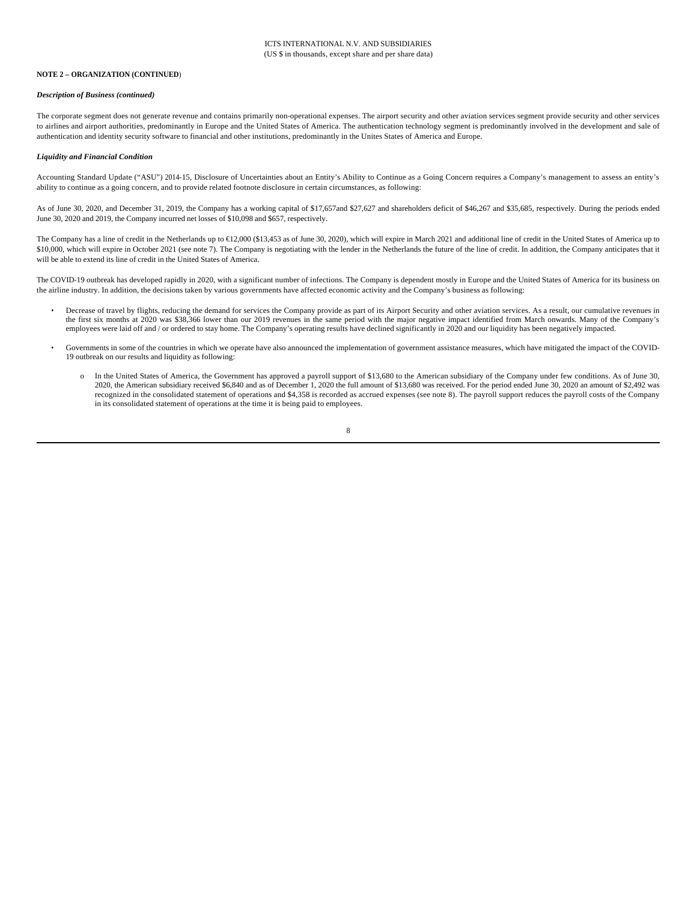#### **NOTE 2 – ORGANIZATION (CONTINUED**)

#### *Description of Business (continued)*

The corporate segment does not generate revenue and contains primarily non-operational expenses. The airport security and other aviation services segment provide security and other services to airlines and airport authorities, predominantly in Europe and the United States of America. The authentication technology segment is predominantly involved in the development and sale of authentication and identity security software to financial and other institutions, predominantly in the Unites States of America and Europe.

#### *Liquidity and Financial Condition*

Accounting Standard Update ("ASU") 2014-15, Disclosure of Uncertainties about an Entity's Ability to Continue as a Going Concern requires a Company's management to assess an entity's ability to continue as a going concern, and to provide related footnote disclosure in certain circumstances, as following:

As of June 30, 2020, and December 31, 2019, the Company has a working capital of \$17,657and \$27,627 and shareholders deficit of \$46,267 and \$35,685, respectively. During the periods ended June 30, 2020 and 2019, the Company incurred net losses of \$10,098 and \$657, respectively.

The Company has a line of credit in the Netherlands up to €12,000 (\$13,453 as of June 30, 2020), which will expire in March 2021 and additional line of credit in the United States of America up to \$10,000, which will expire in October 2021 (see note 7). The Company is negotiating with the lender in the Netherlands the future of the line of credit. In addition, the Company anticipates that it will be able to extend its line of credit in the United States of America.

The COVID-19 outbreak has developed rapidly in 2020, with a significant number of infections. The Company is dependent mostly in Europe and the United States of America for its business on the airline industry. In addition, the decisions taken by various governments have affected economic activity and the Company's business as following:

- Decrease of travel by flights, reducing the demand for services the Company provide as part of its Airport Security and other aviation services. As a result, our cumulative revenues in the first six months at 2020 was \$38,366 lower than our 2019 revenues in the same period with the major negative impact identified from March onwards. Many of the Company's employees were laid off and / or ordered to stay home. The Company's operating results have declined significantly in 2020 and our liquidity has been negatively impacted.
- Governments in some of the countries in which we operate have also announced the implementation of government assistance measures, which have mitigated the impact of the COVID-19 outbreak on our results and liquidity as following:
	- o In the United States of America, the Government has approved a payroll support of \$13,680 to the American subsidiary of the Company under few conditions. As of June 30, 2020, the American subsidiary received \$6,840 and as of December 1, 2020 the full amount of \$13,680 was received. For the period ended June 30, 2020 an amount of \$2,492 was recognized in the consolidated statement of operations and \$4,358 is recorded as accrued expenses (see note 8). The payroll support reduces the payroll costs of the Company in its consolidated statement of operations at the time it is being paid to employees.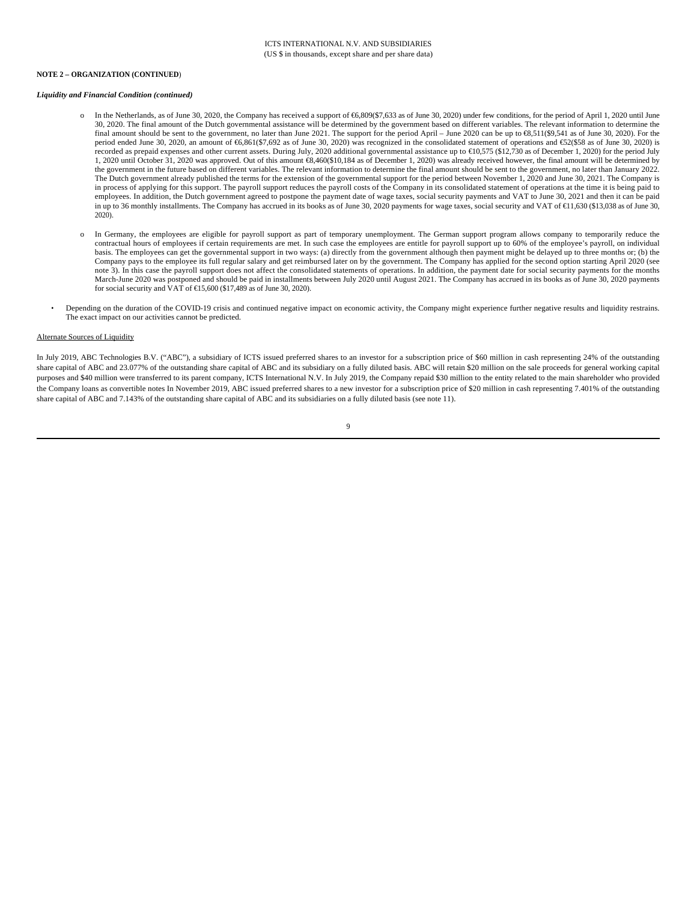#### **NOTE 2 – ORGANIZATION (CONTINUED**)

#### *Liquidity and Financial Condition (continued)*

- o In the Netherlands, as of June 30, 2020, the Company has received a support of €6,809(\$7,633 as of June 30, 2020) under few conditions, for the period of April 1, 2020 until June 30, 2020. The final amount of the Dutch governmental assistance will be determined by the government based on different variables. The relevant information to determine the final amount should be sent to the government, no later than June 2021. The support for the period April – June 2020 can be up to  $\mathcal{R}_2$ , 511(\$9,541 as of June 30, 2020). For the period ended June 30, 2020, an amount of €6,861(\$7,692 as of June 30, 2020) was recognized in the consolidated statement of operations and €52(\$58 as of June 30, 2020) is recorded as prepaid expenses and other current assets. During July, 2020 additional governmental assistance up to €10,575 (\$12,730 as of December 1, 2020) for the period July 1, 2020 until October 31, 2020 was approved. Out of this amount €8,460(\$10,184 as of December 1, 2020) was already received however, the final amount will be determined by the government in the future based on different variables. The relevant information to determine the final amount should be sent to the government, no later than January 2022. The Dutch government already published the terms for the extension of the governmental support for the period between November 1, 2020 and June 30, 2021. The Company is in process of applying for this support. The payroll support reduces the payroll costs of the Company in its consolidated statement of operations at the time it is being paid to employees. In addition, the Dutch government agreed to postpone the payment date of wage taxes, social security payments and VAT to June 30, 2021 and then it can be paid in up to 36 monthly installments. The Company has accrued in its books as of June 30, 2020 payments for wage taxes, social security and VAT of €1,630 (\$13,038 as of June 30, 2020).
- o In Germany, the employees are eligible for payroll support as part of temporary unemployment. The German support program allows company to temporarily reduce the contractual hours of employees if certain requirements are met. In such case the employees are entitle for payroll support up to 60% of the employee's payroll, on individual basis. The employees can get the governmental support in two ways: (a) directly from the government although then payment might be delayed up to three months or; (b) the Company pays to the employee its full regular salary and get reimbursed later on by the government. The Company has applied for the second option starting April 2020 (see note 3). In this case the payroll support does not affect the consolidated statements of operations. In addition, the payment date for social security payments for the months March-June 2020 was postponed and should be paid in installments between July 2020 until August 2021. The Company has accrued in its books as of June 30, 2020 payments for social security and VAT of  $\text{E}15,600$  (\$17,489 as of June 30, 2020).
- Depending on the duration of the COVID-19 crisis and continued negative impact on economic activity, the Company might experience further negative results and liquidity restrains. The exact impact on our activities cannot be predicted.

#### Alternate Sources of Liquidity

In July 2019, ABC Technologies B.V. ("ABC"), a subsidiary of ICTS issued preferred shares to an investor for a subscription price of \$60 million in cash representing 24% of the outstanding share capital of ABC and 23.077% of the outstanding share capital of ABC and its subsidiary on a fully diluted basis. ABC will retain \$20 million on the sale proceeds for general working capital purposes and \$40 million were transferred to its parent company, ICTS International N.V. In July 2019, the Company repaid \$30 million to the entity related to the main shareholder who provided the Company loans as convertible notes In November 2019, ABC issued preferred shares to a new investor for a subscription price of \$20 million in cash representing 7.401% of the outstanding share capital of ABC and 7.143% of the outstanding share capital of ABC and its subsidiaries on a fully diluted basis (see note 11).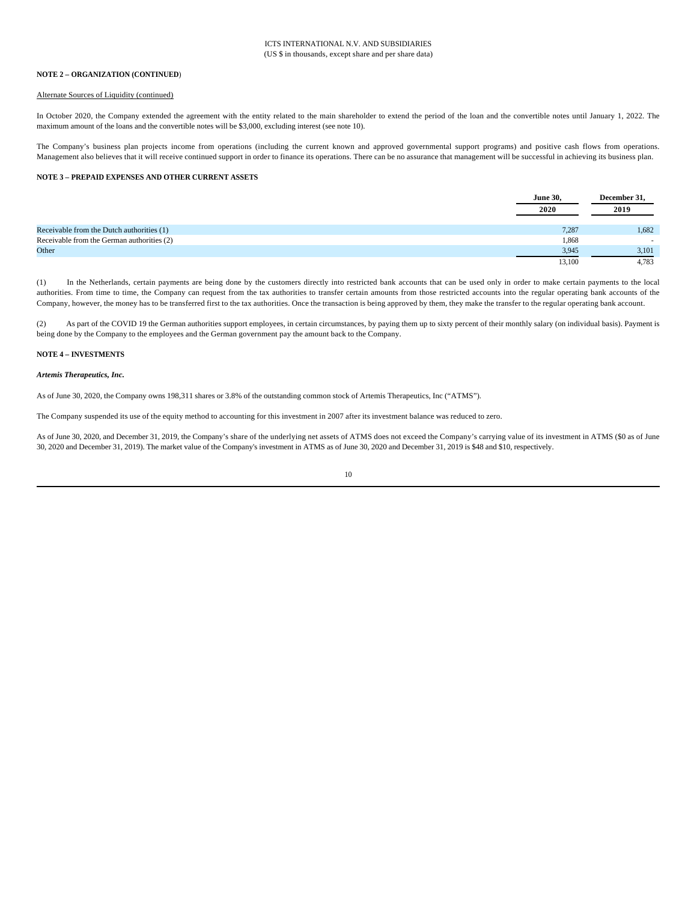#### **NOTE 2 – ORGANIZATION (CONTINUED**)

#### Alternate Sources of Liquidity (continued)

In October 2020, the Company extended the agreement with the entity related to the main shareholder to extend the period of the loan and the convertible notes until January 1, 2022. The maximum amount of the loans and the convertible notes will be \$3,000, excluding interest (see note 10).

The Company's business plan projects income from operations (including the current known and approved governmental support programs) and positive cash flows from operations. Management also believes that it will receive continued support in order to finance its operations. There can be no assurance that management will be successful in achieving its business plan.

#### **NOTE 3 – PREPAID EXPENSES AND OTHER CURRENT ASSETS**

|                                            | <b>June 30,</b><br>2020 | December 31,<br>2019 |
|--------------------------------------------|-------------------------|----------------------|
| Receivable from the Dutch authorities (1)  | 7,287                   | 1,682                |
| Receivable from the German authorities (2) | 1,868                   | $\sim$               |
| Other                                      | 3,945                   | 3,101                |
|                                            | 13,100                  | 4,783                |

(1) In the Netherlands, certain payments are being done by the customers directly into restricted bank accounts that can be used only in order to make certain payments to the local authorities. From time to time, the Company can request from the tax authorities to transfer certain amounts from those restricted accounts into the regular operating bank accounts of the Company, however, the money has to be transferred first to the tax authorities. Once the transaction is being approved by them, they make the transfer to the regular operating bank account.

(2) As part of the COVID 19 the German authorities support employees, in certain circumstances, by paying them up to sixty percent of their monthly salary (on individual basis). Payment is being done by the Company to the employees and the German government pay the amount back to the Company.

#### **NOTE 4 – INVESTMENTS**

#### *Artemis Therapeutics, Inc.*

As of June 30, 2020, the Company owns 198,311 shares or 3.8% of the outstanding common stock of Artemis Therapeutics, Inc ("ATMS").

The Company suspended its use of the equity method to accounting for this investment in 2007 after its investment balance was reduced to zero.

As of June 30, 2020, and December 31, 2019, the Company's share of the underlying net assets of ATMS does not exceed the Company's carrying value of its investment in ATMS (\$0 as of June 30, 2020 and December 31, 2019). The market value of the Company's investment in ATMS as of June 30, 2020 and December 31, 2019 is \$48 and \$10, respectively.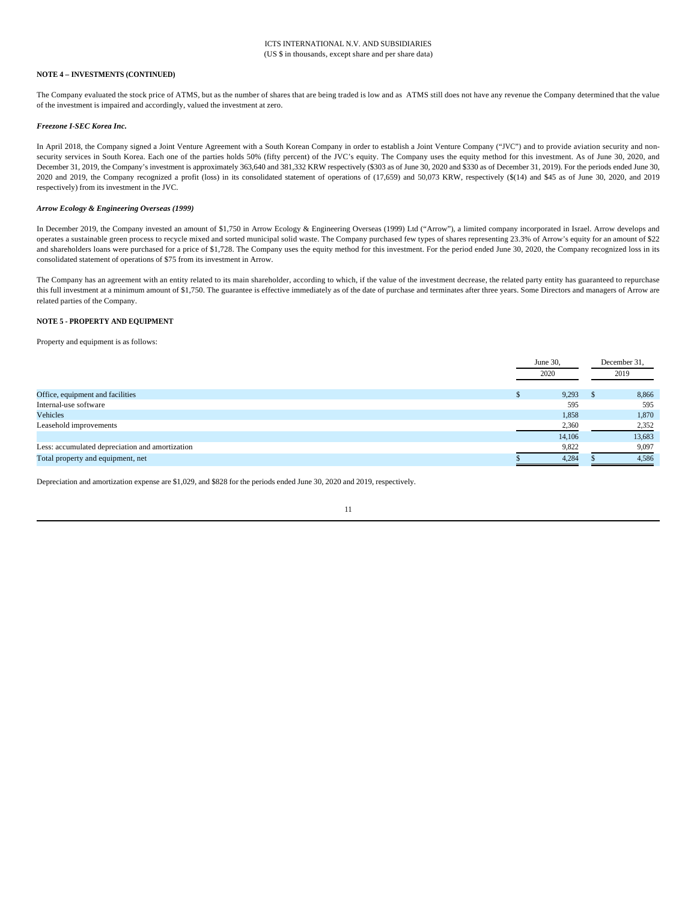#### **NOTE 4 – INVESTMENTS (CONTINUED)**

The Company evaluated the stock price of ATMS, but as the number of shares that are being traded is low and as ATMS still does not have any revenue the Company determined that the value of the investment is impaired and accordingly, valued the investment at zero.

#### *Freezone I-SEC Korea Inc.*

In April 2018, the Company signed a Joint Venture Agreement with a South Korean Company in order to establish a Joint Venture Company ("JVC") and to provide aviation security and nonsecurity services in South Korea. Each one of the parties holds 50% (fifty percent) of the JVC's equity. The Company uses the equity method for this investment. As of June 30, 2020, and December 31, 2019, the Company's investment is approximately 363,640 and 381,332 KRW respectively (\$303 as of June 30, 2020 and \$330 as of December 31, 2019). For the periods ended June 30, 2020 and 2019, the Company recognized a profit (loss) in its consolidated statement of operations of (17,659) and 50,073 KRW, respectively (\$(14) and \$45 as of June 30, 2020, and 2019 respectively) from its investment in the JVC.

#### *Arrow Ecology & Engineering Overseas (1999)*

In December 2019, the Company invested an amount of \$1,750 in Arrow Ecology & Engineering Overseas (1999) Ltd ("Arrow"), a limited company incorporated in Israel. Arrow develops and operates a sustainable green process to recycle mixed and sorted municipal solid waste. The Company purchased few types of shares representing 23.3% of Arrow's equity for an amount of \$22 and shareholders loans were purchased for a price of \$1,728. The Company uses the equity method for this investment. For the period ended June 30, 2020, the Company recognized loss in its consolidated statement of operations of \$75 from its investment in Arrow.

The Company has an agreement with an entity related to its main shareholder, according to which, if the value of the investment decrease, the related party entity has guaranteed to repurchase this full investment at a minimum amount of \$1,750. The guarantee is effective immediately as of the date of purchase and terminates after three years. Some Directors and managers of Arrow are related parties of the Company.

#### **NOTE 5 - PROPERTY AND EQUIPMENT**

Property and equipment is as follows:

|                                                 |  | June 30, |      | December 31, |  |
|-------------------------------------------------|--|----------|------|--------------|--|
|                                                 |  | 2020     | 2019 |              |  |
| Office, equipment and facilities                |  | 9,293    |      | 8,866        |  |
| Internal-use software                           |  | 595      |      | 595          |  |
| Vehicles                                        |  | 1,858    |      | 1,870        |  |
| Leasehold improvements                          |  | 2,360    |      | 2,352        |  |
|                                                 |  | 14,106   |      | 13,683       |  |
| Less: accumulated depreciation and amortization |  | 9,822    |      | 9,097        |  |
| Total property and equipment, net               |  | 4.284    |      | 4,586        |  |

Depreciation and amortization expense are \$1,029, and \$828 for the periods ended June 30, 2020 and 2019, respectively.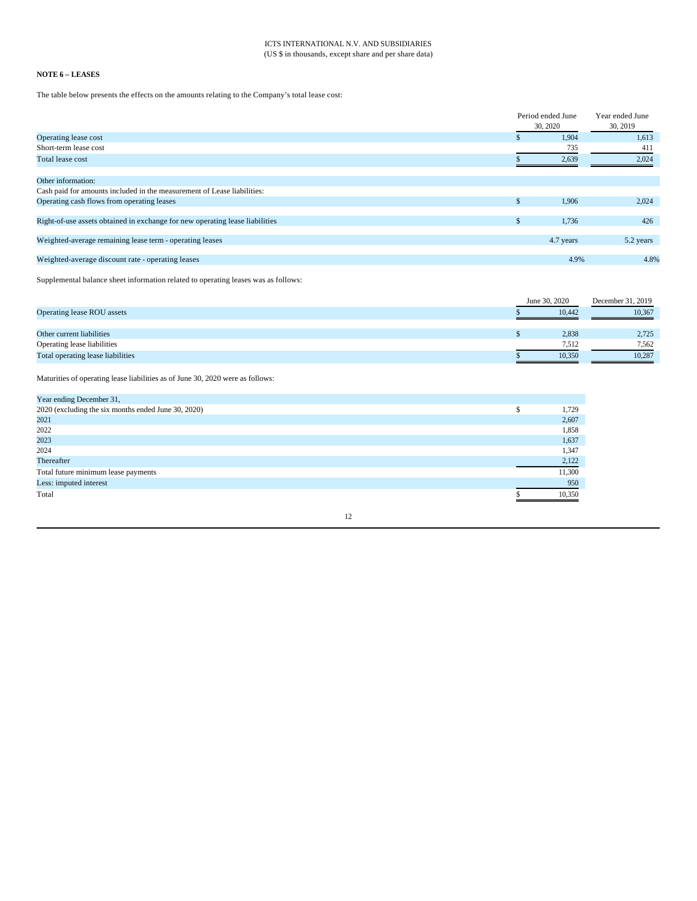# ICTS INTERNATIONAL N.V. AND SUBSIDIARIES (US \$ in thousands, except share and per share data)

# **NOTE 6 – LEASES**

The table below presents the effects on the amounts relating to the Company's total lease cost:

|                                                                              | Period ended June | Year ended June |  |
|------------------------------------------------------------------------------|-------------------|-----------------|--|
|                                                                              | 30, 2020          | 30, 2019        |  |
| Operating lease cost                                                         | 1,904             | 1,613           |  |
| Short-term lease cost                                                        | 735               | 411             |  |
| Total lease cost                                                             | 2,639             | 2,024           |  |
| Other information:                                                           |                   |                 |  |
| Cash paid for amounts included in the measurement of Lease liabilities:      |                   |                 |  |
| Operating cash flows from operating leases                                   | \$<br>1,906       | 2,024           |  |
| Right-of-use assets obtained in exchange for new operating lease liabilities | \$<br>1,736       | 426             |  |
| Weighted-average remaining lease term - operating leases                     | 4.7 years         | 5.2 years       |  |
| Weighted-average discount rate - operating leases                            | 4.9%              | 4.8%            |  |

Supplemental balance sheet information related to operating leases was as follows:

|                                   | June 30, 2020 | December 31, 2019 |  |
|-----------------------------------|---------------|-------------------|--|
| Operating lease ROU assets        | 10.442        | 10.367            |  |
|                                   |               |                   |  |
| Other current liabilities         | 2,838         | 2,725             |  |
| Operating lease liabilities       | 7.512         | 7.562             |  |
| Total operating lease liabilities | 10,350        | 10,287            |  |

Maturities of operating lease liabilities as of June 30, 2020 were as follows:

| Year ending December 31,                            |        |
|-----------------------------------------------------|--------|
| 2020 (excluding the six months ended June 30, 2020) | 1,729  |
| 2021                                                | 2,607  |
| 2022                                                | 1,858  |
| 2023                                                | 1,637  |
| 2024                                                | 1,347  |
| Thereafter                                          | 2,122  |
| Total future minimum lease payments                 | 11,300 |
| Less: imputed interest                              | 950    |
| Total                                               | 10.350 |

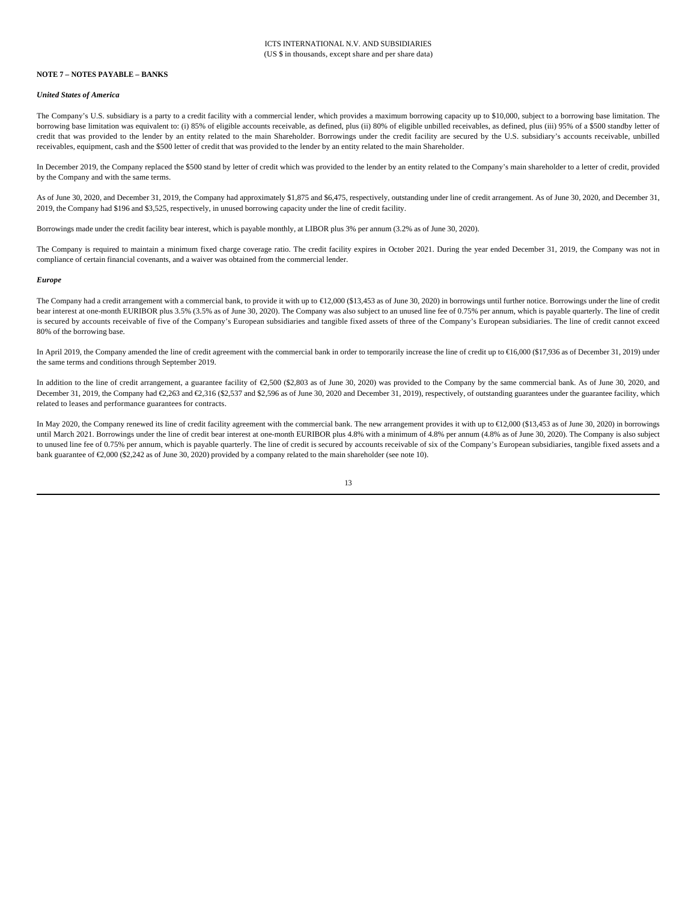#### **NOTE 7 – NOTES PAYABLE – BANKS**

#### *United States of America*

The Company's U.S. subsidiary is a party to a credit facility with a commercial lender, which provides a maximum borrowing capacity up to \$10,000, subject to a borrowing base limitation. The borrowing base limitation was equivalent to: (i) 85% of eligible accounts receivable, as defined, plus (ii) 80% of eligible unbilled receivables, as defined, plus (iii) 95% of a \$500 standby letter of credit that was provided to the lender by an entity related to the main Shareholder. Borrowings under the credit facility are secured by the U.S. subsidiary's accounts receivable, unbilled receivables, equipment, cash and the \$500 letter of credit that was provided to the lender by an entity related to the main Shareholder.

In December 2019, the Company replaced the \$500 stand by letter of credit which was provided to the lender by an entity related to the Company's main shareholder to a letter of credit, provided by the Company and with the same terms.

As of June 30, 2020, and December 31, 2019, the Company had approximately \$1,875 and \$6,475, respectively, outstanding under line of credit arrangement. As of June 30, 2020, and December 31, 2019, the Company had \$196 and \$3,525, respectively, in unused borrowing capacity under the line of credit facility.

Borrowings made under the credit facility bear interest, which is payable monthly, at LIBOR plus 3% per annum (3.2% as of June 30, 2020).

The Company is required to maintain a minimum fixed charge coverage ratio. The credit facility expires in October 2021. During the year ended December 31, 2019, the Company was not in compliance of certain financial covenants, and a waiver was obtained from the commercial lender.

#### *Europe*

The Company had a credit arrangement with a commercial bank, to provide it with up to €12,000 (\$13,453 as of June 30, 2020) in borrowings until further notice. Borrowings under the line of credit bear interest at one-month EURIBOR plus 3.5% (3.5% as of June 30, 2020). The Company was also subject to an unused line fee of 0.75% per annum, which is payable quarterly. The line of credit is secured by accounts receivable of five of the Company's European subsidiaries and tangible fixed assets of three of the Company's European subsidiaries. The line of credit cannot exceed 80% of the borrowing base.

In April 2019, the Company amended the line of credit agreement with the commercial bank in order to temporarily increase the line of credit up to €16,000 (\$17,936 as of December 31, 2019) under the same terms and conditions through September 2019.

In addition to the line of credit arrangement, a guarantee facility of €2,500 (\$2,803 as of June 30, 2020) was provided to the Company by the same commercial bank. As of June 30, 2020, and December 31, 2019, the Company had €2,263 and €2,316 (\$2,537 and \$2,596 as of June 30, 2020 and December 31, 2019), respectively, of outstanding guarantees under the guarantee facility, which related to leases and performance guarantees for contracts.

In May 2020, the Company renewed its line of credit facility agreement with the commercial bank. The new arrangement provides it with up to €12,000 (\$13,453 as of June 30, 2020) in borrowings until March 2021. Borrowings under the line of credit bear interest at one-month EURIBOR plus 4.8% with a minimum of 4.8% per annum (4.8% as of June 30, 2020). The Company is also subject to unused line fee of 0.75% per annum, which is payable quarterly. The line of credit is secured by accounts receivable of six of the Company's European subsidiaries, tangible fixed assets and a bank guarantee of €2,000 (\$2,242 as of June 30, 2020) provided by a company related to the main shareholder (see note 10).

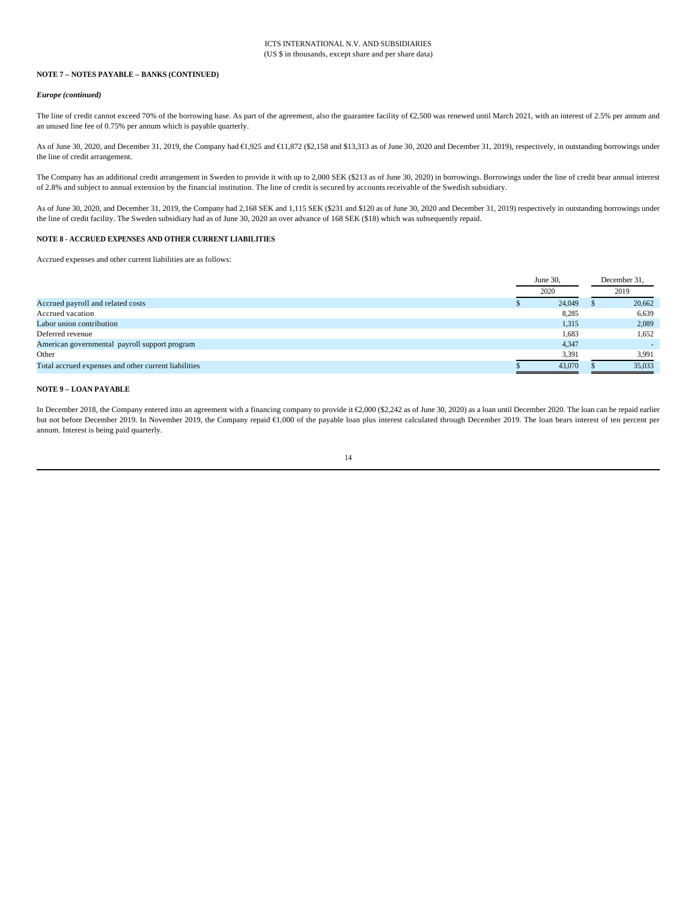#### **NOTE 7 – NOTES PAYABLE – BANKS (CONTINUED)**

#### *Europe (continued)*

The line of credit cannot exceed 70% of the borrowing base. As part of the agreement, also the guarantee facility of €2,500 was renewed until March 2021, with an interest of 2.5% per annum and an unused line fee of 0.75% per annum which is payable quarterly.

As of June 30, 2020, and December 31, 2019, the Company had €1,925 and €1,872 (\$2,158 and \$13,313 as of June 30, 2020 and December 31, 2019), respectively, in outstanding borrowings under the line of credit arrangement.

The Company has an additional credit arrangement in Sweden to provide it with up to 2,000 SEK (\$213 as of June 30, 2020) in borrowings. Borrowings under the line of credit bear annual interest of 2.8% and subject to annual extension by the financial institution. The line of credit is secured by accounts receivable of the Swedish subsidiary.

As of June 30, 2020, and December 31, 2019, the Company had 2,168 SEK and 1,115 SEK (\$231 and \$120 as of June 30, 2020 and December 31, 2019) respectively in outstanding borrowings under the line of credit facility. The Sweden subsidiary had as of June 30, 2020 an over advance of 168 SEK (\$18) which was subsequently repaid.

# **NOTE 8 - ACCRUED EXPENSES AND OTHER CURRENT LIABILITIES**

Accrued expenses and other current liabilities are as follows:

|                                                      |      | June 30. |      | December 31. |  |
|------------------------------------------------------|------|----------|------|--------------|--|
|                                                      | 2020 |          | 2019 |              |  |
| Accrued payroll and related costs                    |      | 24,049   |      | 20,662       |  |
| Accrued vacation                                     |      | 8,285    |      | 6,639        |  |
| Labor union contribution                             |      | 1,315    |      | 2,089        |  |
| Deferred revenue                                     |      | 1,683    |      | 1,652        |  |
| American governmental payroll support program        |      | 4,347    |      |              |  |
| Other                                                |      | 3,391    |      | 3,991        |  |
| Total accrued expenses and other current liabilities |      | 43,070   |      | 35,033       |  |

# **NOTE 9 – LOAN PAYABLE**

In December 2018, the Company entered into an agreement with a financing company to provide it €2,000 (\$2,242 as of June 30, 2020) as a loan until December 2020. The loan can be repaid earlier but not before December 2019. In November 2019, the Company repaid €1,000 of the payable loan plus interest calculated through December 2019. The loan bears interest of ten percent per annum. Interest is being paid quarterly.

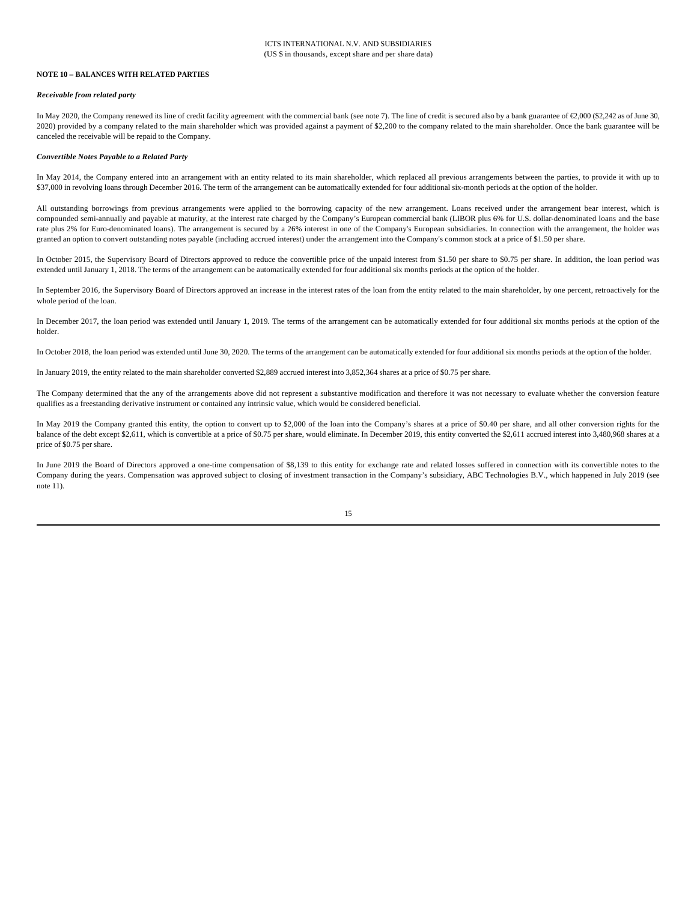#### **NOTE 10 – BALANCES WITH RELATED PARTIES**

#### *Receivable from related party*

In May 2020, the Company renewed its line of credit facility agreement with the commercial bank (see note 7). The line of credit is secured also by a bank guarantee of €2,000 (\$2,242 as of June 30, 2020) provided by a company related to the main shareholder which was provided against a payment of \$2,200 to the company related to the main shareholder. Once the bank guarantee will be canceled the receivable will be repaid to the Company.

#### *Convertible Notes Payable to a Related Party*

In May 2014, the Company entered into an arrangement with an entity related to its main shareholder, which replaced all previous arrangements between the parties, to provide it with up to \$37,000 in revolving loans through December 2016. The term of the arrangement can be automatically extended for four additional six-month periods at the option of the holder.

All outstanding borrowings from previous arrangements were applied to the borrowing capacity of the new arrangement. Loans received under the arrangement bear interest, which is compounded semi-annually and payable at maturity, at the interest rate charged by the Company's European commercial bank (LIBOR plus 6% for U.S. dollar-denominated loans and the base rate plus 2% for Euro-denominated loans). The arrangement is secured by a 26% interest in one of the Company's European subsidiaries. In connection with the arrangement, the holder was granted an option to convert outstanding notes payable (including accrued interest) under the arrangement into the Company's common stock at a price of \$1.50 per share.

In October 2015, the Supervisory Board of Directors approved to reduce the convertible price of the unpaid interest from \$1.50 per share to \$0.75 per share. In addition, the loan period was extended until January 1, 2018. The terms of the arrangement can be automatically extended for four additional six months periods at the option of the holder.

In September 2016, the Supervisory Board of Directors approved an increase in the interest rates of the loan from the entity related to the main shareholder, by one percent, retroactively for the whole period of the loan.

In December 2017, the loan period was extended until January 1, 2019. The terms of the arrangement can be automatically extended for four additional six months periods at the option of the holder.

In October 2018, the loan period was extended until June 30, 2020. The terms of the arrangement can be automatically extended for four additional six months periods at the option of the holder.

In January 2019, the entity related to the main shareholder converted \$2,889 accrued interest into 3,852,364 shares at a price of \$0.75 per share.

The Company determined that the any of the arrangements above did not represent a substantive modification and therefore it was not necessary to evaluate whether the conversion feature qualifies as a freestanding derivative instrument or contained any intrinsic value, which would be considered beneficial.

In May 2019 the Company granted this entity, the option to convert up to \$2,000 of the loan into the Company's shares at a price of \$0.40 per share, and all other conversion rights for the balance of the debt except \$2,611, which is convertible at a price of \$0.75 per share, would eliminate. In December 2019, this entity converted the \$2,611 accrued interest into 3,480,968 shares at a price of \$0.75 per share.

In June 2019 the Board of Directors approved a one-time compensation of \$8,139 to this entity for exchange rate and related losses suffered in connection with its convertible notes to the Company during the years. Compensation was approved subject to closing of investment transaction in the Company's subsidiary, ABC Technologies B.V., which happened in July 2019 (see note 11).

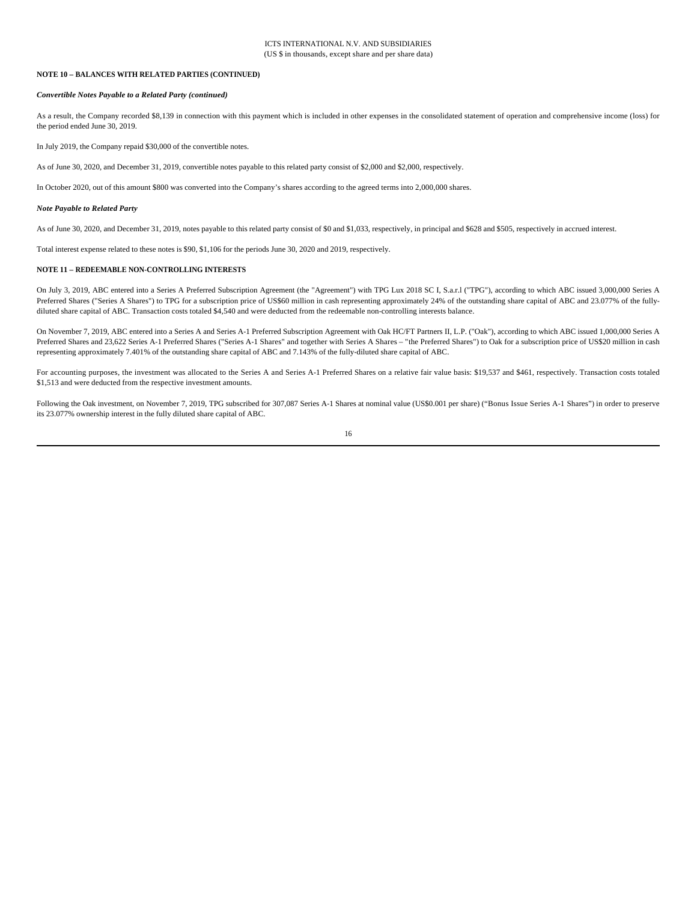#### **NOTE 10 – BALANCES WITH RELATED PARTIES (CONTINUED)**

#### *Convertible Notes Payable to a Related Party (continued)*

As a result, the Company recorded \$8,139 in connection with this payment which is included in other expenses in the consolidated statement of operation and comprehensive income (loss) for the period ended June 30, 2019.

In July 2019, the Company repaid \$30,000 of the convertible notes.

As of June 30, 2020, and December 31, 2019, convertible notes payable to this related party consist of \$2,000 and \$2,000, respectively.

In October 2020, out of this amount \$800 was converted into the Company's shares according to the agreed terms into 2,000,000 shares.

#### *Note Payable to Related Party*

As of June 30, 2020, and December 31, 2019, notes payable to this related party consist of \$0 and \$1,033, respectively, in principal and \$628 and \$505, respectively in accrued interest.

Total interest expense related to these notes is \$90, \$1,106 for the periods June 30, 2020 and 2019, respectively.

#### **NOTE 11 – REDEEMABLE NON-CONTROLLING INTERESTS**

On July 3, 2019, ABC entered into a Series A Preferred Subscription Agreement (the "Agreement") with TPG Lux 2018 SC I, S.a.r.l ("TPG"), according to which ABC issued 3,000,000 Series A Preferred Shares ("Series A Shares") to TPG for a subscription price of US\$60 million in cash representing approximately 24% of the outstanding share capital of ABC and 23.077% of the fullydiluted share capital of ABC. Transaction costs totaled \$4,540 and were deducted from the redeemable non-controlling interests balance.

On November 7, 2019, ABC entered into a Series A and Series A-1 Preferred Subscription Agreement with Oak HC/FT Partners II, L.P. ("Oak"), according to which ABC issued 1,000,000 Series A Preferred Shares and 23,622 Series A-1 Preferred Shares ("Series A-1 Shares" and together with Series A Shares – "the Preferred Shares") to Oak for a subscription price of US\$20 million in cash representing approximately 7.401% of the outstanding share capital of ABC and 7.143% of the fully-diluted share capital of ABC.

For accounting purposes, the investment was allocated to the Series A and Series A-1 Preferred Shares on a relative fair value basis: \$19,537 and \$461, respectively. Transaction costs totaled \$1,513 and were deducted from the respective investment amounts.

Following the Oak investment, on November 7, 2019, TPG subscribed for 307,087 Series A-1 Shares at nominal value (US\$0.001 per share) ("Bonus Issue Series A-1 Shares") in order to preserve its 23.077% ownership interest in the fully diluted share capital of ABC.

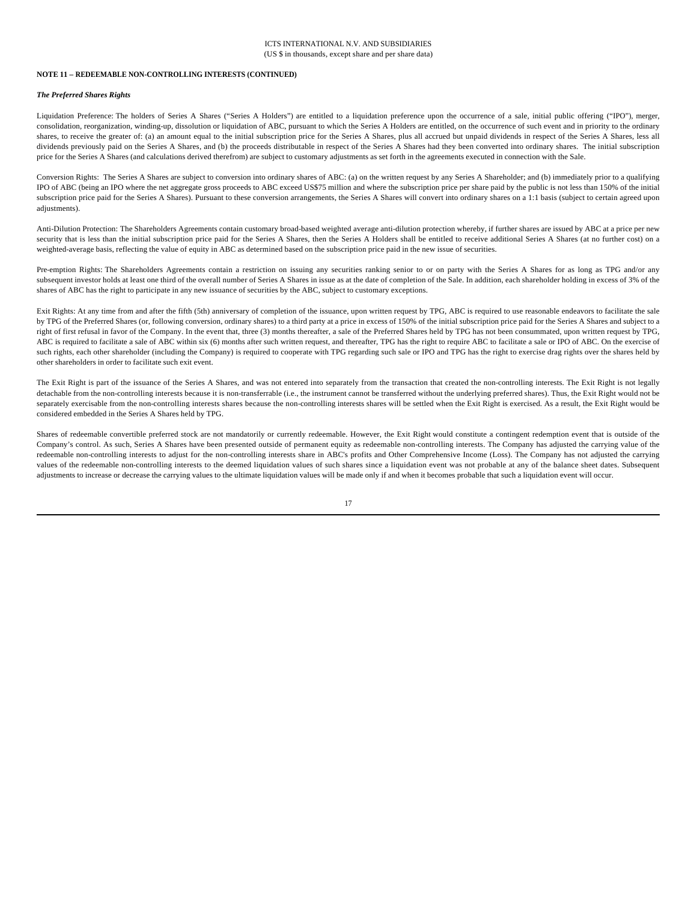#### ICTS INTERNATIONAL N.V. AND SUBSIDIARIES (US \$ in thousands, except share and per share data)

#### **NOTE 11 – REDEEMABLE NON-CONTROLLING INTERESTS (CONTINUED)**

#### *The Preferred Shares Rights*

Liquidation Preference: The holders of Series A Shares ("Series A Holders") are entitled to a liquidation preference upon the occurrence of a sale, initial public offering ("IPO"), merger, consolidation, reorganization, winding-up, dissolution or liquidation of ABC, pursuant to which the Series A Holders are entitled, on the occurrence of such event and in priority to the ordinary shares, to receive the greater of: (a) an amount equal to the initial subscription price for the Series A Shares, plus all accrued but unpaid dividends in respect of the Series A Shares, less all dividends previously paid on the Series A Shares, and (b) the proceeds distributable in respect of the Series A Shares had they been converted into ordinary shares. The initial subscription price for the Series A Shares (and calculations derived therefrom) are subject to customary adjustments as set forth in the agreements executed in connection with the Sale.

Conversion Rights: The Series A Shares are subject to conversion into ordinary shares of ABC: (a) on the written request by any Series A Shareholder; and (b) immediately prior to a qualifying IPO of ABC (being an IPO where the net aggregate gross proceeds to ABC exceed US\$75 million and where the subscription price per share paid by the public is not less than 150% of the initial subscription price paid for the Series A Shares). Pursuant to these conversion arrangements, the Series A Shares will convert into ordinary shares on a 1:1 basis (subject to certain agreed upon adjustments).

Anti-Dilution Protection: The Shareholders Agreements contain customary broad-based weighted average anti-dilution protection whereby, if further shares are issued by ABC at a price per new security that is less than the initial subscription price paid for the Series A Shares, then the Series A Holders shall be entitled to receive additional Series A Shares (at no further cost) on a weighted-average basis, reflecting the value of equity in ABC as determined based on the subscription price paid in the new issue of securities.

Pre-emption Rights: The Shareholders Agreements contain a restriction on issuing any securities ranking senior to or on party with the Series A Shares for as long as TPG and/or any subsequent investor holds at least one third of the overall number of Series A Shares in issue as at the date of completion of the Sale. In addition, each shareholder holding in excess of 3% of the shares of ABC has the right to participate in any new issuance of securities by the ABC, subject to customary exceptions.

Exit Rights: At any time from and after the fifth (5th) anniversary of completion of the issuance, upon written request by TPG, ABC is required to use reasonable endeavors to facilitate the sale by TPG of the Preferred Shares (or, following conversion, ordinary shares) to a third party at a price in excess of 150% of the initial subscription price paid for the Series A Shares and subject to a right of first refusal in favor of the Company. In the event that, three (3) months thereafter, a sale of the Preferred Shares held by TPG has not been consummated, upon written request by TPG, ABC is required to facilitate a sale of ABC within six (6) months after such written request, and thereafter, TPG has the right to require ABC to facilitate a sale or IPO of ABC. On the exercise of such rights, each other shareholder (including the Company) is required to cooperate with TPG regarding such sale or IPO and TPG has the right to exercise drag rights over the shares held by other shareholders in order to facilitate such exit event.

The Exit Right is part of the issuance of the Series A Shares, and was not entered into separately from the transaction that created the non-controlling interests. The Exit Right is not legally detachable from the non-controlling interests because it is non-transferrable (i.e., the instrument cannot be transferred without the underlying preferred shares). Thus, the Exit Right would not be separately exercisable from the non-controlling interests shares because the non-controlling interests shares will be settled when the Exit Right is exercised. As a result, the Exit Right would be considered embedded in the Series A Shares held by TPG.

Shares of redeemable convertible preferred stock are not mandatorily or currently redeemable. However, the Exit Right would constitute a contingent redemption event that is outside of the Company's control. As such, Series A Shares have been presented outside of permanent equity as redeemable non-controlling interests. The Company has adjusted the carrying value of the redeemable non-controlling interests to adjust for the non-controlling interests share in ABC's profits and Other Comprehensive Income (Loss). The Company has not adjusted the carrying values of the redeemable non-controlling interests to the deemed liquidation values of such shares since a liquidation event was not probable at any of the balance sheet dates. Subsequent adjustments to increase or decrease the carrying values to the ultimate liquidation values will be made only if and when it becomes probable that such a liquidation event will occur.

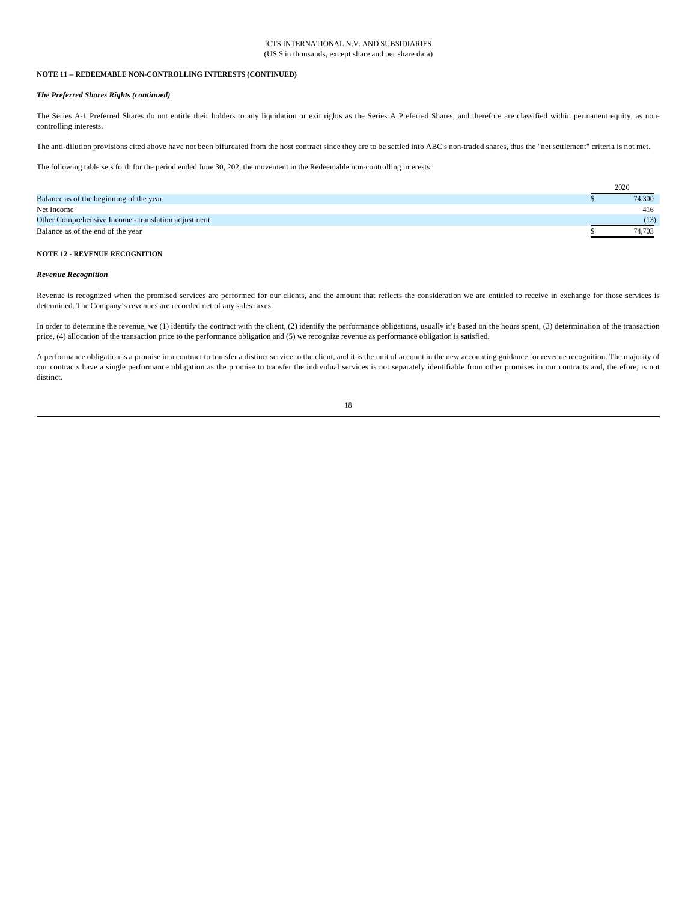#### ICTS INTERNATIONAL N.V. AND SUBSIDIARIES (US \$ in thousands, except share and per share data)

#### **NOTE 11 – REDEEMABLE NON-CONTROLLING INTERESTS (CONTINUED)**

#### *The Preferred Shares Rights (continued)*

The Series A-1 Preferred Shares do not entitle their holders to any liquidation or exit rights as the Series A Preferred Shares, and therefore are classified within permanent equity, as noncontrolling interests.

The anti-dilution provisions cited above have not been bifurcated from the host contract since they are to be settled into ABC's non-traded shares, thus the "net settlement" criteria is not met.

The following table sets forth for the period ended June 30, 202, the movement in the Redeemable non-controlling interests:

|                                                     | 2020   |
|-----------------------------------------------------|--------|
| Balance as of the beginning of the year             | 74,300 |
| Net Income                                          | 416    |
| Other Comprehensive Income - translation adjustment | (13)   |
| Balance as of the end of the year                   | 74.703 |

## **NOTE 12 - REVENUE RECOGNITION**

#### *Revenue Recognition*

Revenue is recognized when the promised services are performed for our clients, and the amount that reflects the consideration we are entitled to receive in exchange for those services is determined. The Company's revenues are recorded net of any sales taxes.

In order to determine the revenue, we (1) identify the contract with the client, (2) identify the performance obligations, usually it's based on the hours spent, (3) determination of the transaction price, (4) allocation of the transaction price to the performance obligation and (5) we recognize revenue as performance obligation is satisfied.

A performance obligation is a promise in a contract to transfer a distinct service to the client, and it is the unit of account in the new accounting guidance for revenue recognition. The majority of our contracts have a single performance obligation as the promise to transfer the individual services is not separately identifiable from other promises in our contracts and, therefore, is not distinct.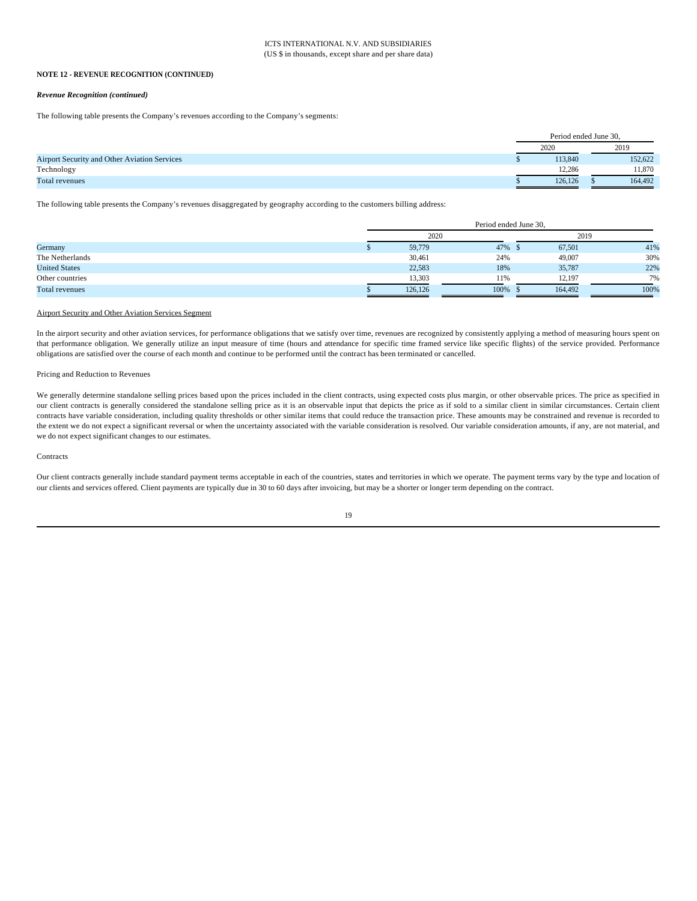#### *Revenue Recognition (continued)*

The following table presents the Company's revenues according to the Company's segments:

|                                                     | Period ended June 30, |  |         |  |
|-----------------------------------------------------|-----------------------|--|---------|--|
|                                                     | 2020                  |  | 2019    |  |
| <b>Airport Security and Other Aviation Services</b> | 113.840               |  | 152,622 |  |
| Technology                                          | 12.286                |  | 11.870  |  |
| Total revenues                                      | 126,126               |  | 164.492 |  |

The following table presents the Company's revenues disaggregated by geography according to the customers billing address:

|                      |      | Period ended June 30, |      |               |      |  |
|----------------------|------|-----------------------|------|---------------|------|--|
|                      | 2020 |                       |      | 2019          |      |  |
| Germany              |      | 59,779                | 47%  | 67,501<br>- 5 | 41%  |  |
| The Netherlands      |      | 30,461                | 24%  | 49,007        | 30%  |  |
| <b>United States</b> |      | 22,583                | 18%  | 35,787        | 22%  |  |
| Other countries      |      | 13,303                | 11%  | 12,197        | 7%   |  |
| Total revenues       |      | 126.126               | 100% | 164,492       | 100% |  |

#### Airport Security and Other Aviation Services Segment

In the airport security and other aviation services, for performance obligations that we satisfy over time, revenues are recognized by consistently applying a method of measuring hours spent on that performance obligation. We generally utilize an input measure of time (hours and attendance for specific time framed service like specific flights) of the service provided. Performance obligations are satisfied over the course of each month and continue to be performed until the contract has been terminated or cancelled.

#### Pricing and Reduction to Revenues

We generally determine standalone selling prices based upon the prices included in the client contracts, using expected costs plus margin, or other observable prices. The price as specified in our client contracts is generally considered the standalone selling price as it is an observable input that depicts the price as if sold to a similar client in similar circumstances. Certain client contracts have variable consideration, including quality thresholds or other similar items that could reduce the transaction price. These amounts may be constrained and revenue is recorded to the extent we do not expect a significant reversal or when the uncertainty associated with the variable consideration is resolved. Our variable consideration amounts, if any, are not material, and we do not expect significant changes to our estimates.

#### **Contracts**

Our client contracts generally include standard payment terms acceptable in each of the countries, states and territories in which we operate. The payment terms vary by the type and location of our clients and services offered. Client payments are typically due in 30 to 60 days after invoicing, but may be a shorter or longer term depending on the contract.

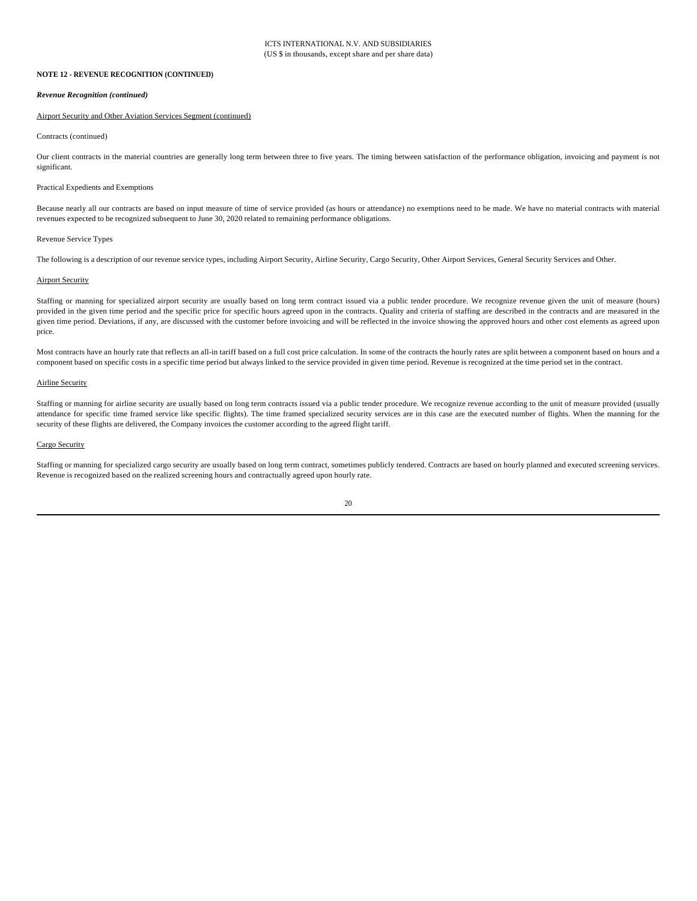#### *Revenue Recognition (continued)*

#### Airport Security and Other Aviation Services Segment (continued)

#### Contracts (continued)

Our client contracts in the material countries are generally long term between three to five years. The timing between satisfaction of the performance obligation, invoicing and payment is not significant.

#### Practical Expedients and Exemptions

Because nearly all our contracts are based on input measure of time of service provided (as hours or attendance) no exemptions need to be made. We have no material contracts with material revenues expected to be recognized subsequent to June 30, 2020 related to remaining performance obligations.

#### Revenue Service Types

The following is a description of our revenue service types, including Airport Security, Airline Security, Cargo Security, Other Airport Services, General Security Services and Other.

#### Airport Security

Staffing or manning for specialized airport security are usually based on long term contract issued via a public tender procedure. We recognize revenue given the unit of measure (hours) provided in the given time period and the specific price for specific hours agreed upon in the contracts. Quality and criteria of staffing are described in the contracts and are measured in the given time period. Deviations, if any, are discussed with the customer before invoicing and will be reflected in the invoice showing the approved hours and other cost elements as agreed upon price.

Most contracts have an hourly rate that reflects an all-in tariff based on a full cost price calculation. In some of the contracts the hourly rates are split between a component based on hours and a component based on specific costs in a specific time period but always linked to the service provided in given time period. Revenue is recognized at the time period set in the contract.

#### Airline Security

Staffing or manning for airline security are usually based on long term contracts issued via a public tender procedure. We recognize revenue according to the unit of measure provided (usually attendance for specific time framed service like specific flights). The time framed specialized security services are in this case are the executed number of flights. When the manning for the security of these flights are delivered, the Company invoices the customer according to the agreed flight tariff.

#### Cargo Security

Staffing or manning for specialized cargo security are usually based on long term contract, sometimes publicly tendered. Contracts are based on hourly planned and executed screening services. Revenue is recognized based on the realized screening hours and contractually agreed upon hourly rate.

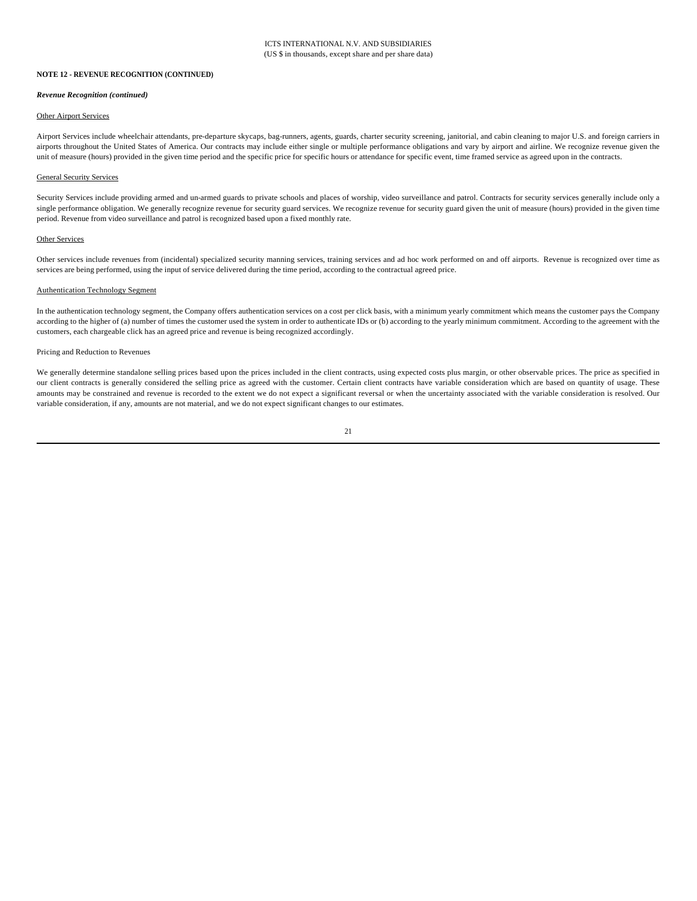#### *Revenue Recognition (continued)*

#### Other Airport Services

Airport Services include wheelchair attendants, pre-departure skycaps, bag-runners, agents, guards, charter security screening, janitorial, and cabin cleaning to major U.S. and foreign carriers in airports throughout the United States of America. Our contracts may include either single or multiple performance obligations and vary by airport and airline. We recognize revenue given the unit of measure (hours) provided in the given time period and the specific price for specific hours or attendance for specific event, time framed service as agreed upon in the contracts.

#### General Security Services

Security Services include providing armed and un-armed guards to private schools and places of worship, video surveillance and patrol. Contracts for security services generally include only a single performance obligation. We generally recognize revenue for security guard services. We recognize revenue for security guard given the unit of measure (hours) provided in the given time period. Revenue from video surveillance and patrol is recognized based upon a fixed monthly rate.

#### Other Services

Other services include revenues from (incidental) specialized security manning services, training services and ad hoc work performed on and off airports. Revenue is recognized over time as services are being performed, using the input of service delivered during the time period, according to the contractual agreed price.

#### Authentication Technology Segment

In the authentication technology segment, the Company offers authentication services on a cost per click basis, with a minimum yearly commitment which means the customer pays the Company according to the higher of (a) number of times the customer used the system in order to authenticate IDs or (b) according to the yearly minimum commitment. According to the agreement with the customers, each chargeable click has an agreed price and revenue is being recognized accordingly.

#### Pricing and Reduction to Revenues

We generally determine standalone selling prices based upon the prices included in the client contracts, using expected costs plus margin, or other observable prices. The price as specified in our client contracts is generally considered the selling price as agreed with the customer. Certain client contracts have variable consideration which are based on quantity of usage. These amounts may be constrained and revenue is recorded to the extent we do not expect a significant reversal or when the uncertainty associated with the variable consideration is resolved. Our variable consideration, if any, amounts are not material, and we do not expect significant changes to our estimates.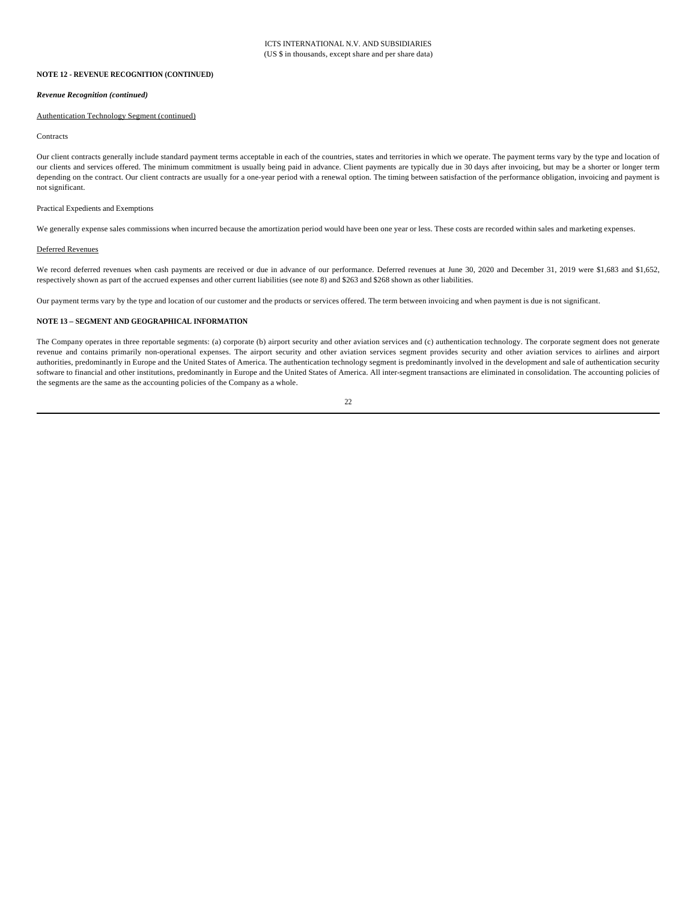#### *Revenue Recognition (continued)*

#### Authentication Technology Segment (continued)

#### **Contracts**

Our client contracts generally include standard payment terms acceptable in each of the countries, states and territories in which we operate. The payment terms vary by the type and location of our clients and services offered. The minimum commitment is usually being paid in advance. Client payments are typically due in 30 days after invoicing, but may be a shorter or longer term depending on the contract. Our client contracts are usually for a one-year period with a renewal option. The timing between satisfaction of the performance obligation, invoicing and payment is not significant.

#### Practical Expedients and Exemptions

We generally expense sales commissions when incurred because the amortization period would have been one year or less. These costs are recorded within sales and marketing expenses.

#### Deferred Revenues

We record deferred revenues when cash payments are received or due in advance of our performance. Deferred revenues at June 30, 2020 and December 31, 2019 were \$1,683 and \$1,652, respectively shown as part of the accrued expenses and other current liabilities (see note 8) and \$263 and \$268 shown as other liabilities.

Our payment terms vary by the type and location of our customer and the products or services offered. The term between invoicing and when payment is due is not significant.

#### **NOTE 13 – SEGMENT AND GEOGRAPHICAL INFORMATION**

The Company operates in three reportable segments: (a) corporate (b) airport security and other aviation services and (c) authentication technology. The corporate segment does not generate revenue and contains primarily non-operational expenses. The airport security and other aviation services segment provides security and other aviation services to airlines and airport authorities, predominantly in Europe and the United States of America. The authentication technology segment is predominantly involved in the development and sale of authentication security software to financial and other institutions, predominantly in Europe and the United States of America. All inter-segment transactions are eliminated in consolidation. The accounting policies of the segments are the same as the accounting policies of the Company as a whole.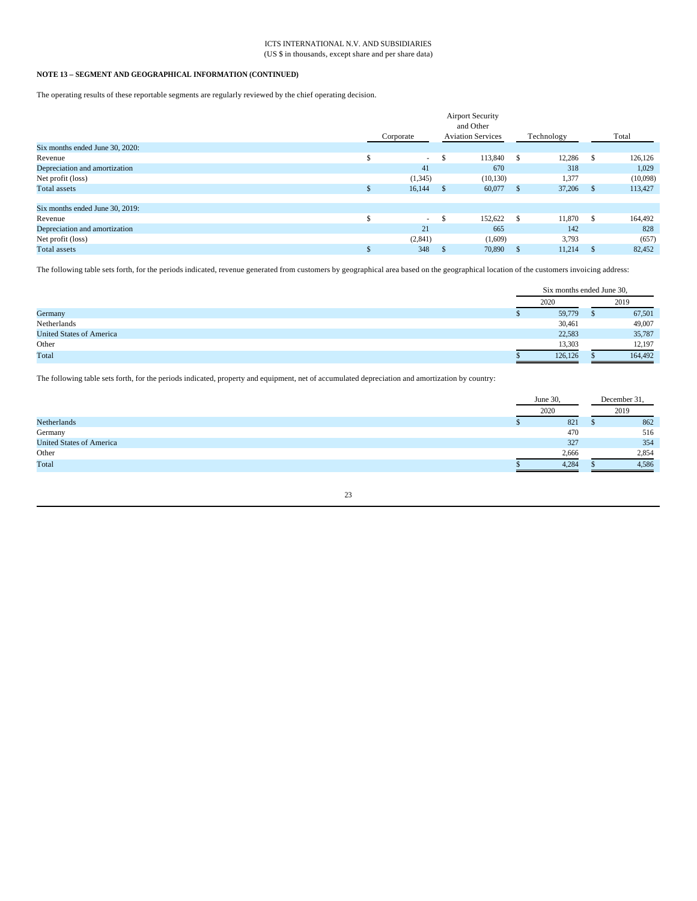#### ICTS INTERNATIONAL N.V. AND SUBSIDIARIES (US \$ in thousands, except share and per share data)

# **NOTE 13 – SEGMENT AND GEOGRAPHICAL INFORMATION (CONTINUED)**

The operating results of these reportable segments are regularly reviewed by the chief operating decision.

|                                 |           |    | <b>Airport Security</b>  |              |            |    |          |
|---------------------------------|-----------|----|--------------------------|--------------|------------|----|----------|
|                                 |           |    | and Other                |              |            |    |          |
|                                 | Corporate |    | <b>Aviation Services</b> |              | Technology |    | Total    |
| Six months ended June 30, 2020: |           |    |                          |              |            |    |          |
| Revenue                         | $\sim$    |    | 113,840                  | - \$         | 12,286     |    | 126,126  |
| Depreciation and amortization   | 41        |    | 670                      |              | 318        |    | 1,029    |
| Net profit (loss)               | (1,345)   |    | (10, 130)                |              | 1,377      |    | (10,098) |
| <b>Total assets</b>             | 16,144    | S  | 60,077                   | $\mathsf{S}$ | 37,206     | -S | 113,427  |
| Six months ended June 30, 2019: |           |    |                          |              |            |    |          |
| Revenue                         | $\sim$    | S. | 152,622                  | - \$         | 11,870     | -S | 164,492  |
| Depreciation and amortization   | 21        |    | 665                      |              | 142        |    | 828      |
| Net profit (loss)               | (2,841)   |    | (1,609)                  |              | 3,793      |    | (657)    |
| Total assets                    | 348       |    | 70,890                   | S            | 11.214     |    | 82,452   |

The following table sets forth, for the periods indicated, revenue generated from customers by geographical area based on the geographical location of the customers invoicing address:

|                                 | Six months ended June 30, |  |         |
|---------------------------------|---------------------------|--|---------|
|                                 | 2020                      |  | 2019    |
| Germany                         | 59,779                    |  | 67,501  |
| Netherlands                     | 30,461                    |  | 49,007  |
| <b>United States of America</b> | 22,583                    |  | 35,787  |
| Other                           | 13,303                    |  | 12,197  |
| Total                           | 126.126                   |  | 164,492 |

The following table sets forth, for the periods indicated, property and equipment, net of accumulated depreciation and amortization by country:

|                                 | June 30, |       | December 31 |       |
|---------------------------------|----------|-------|-------------|-------|
|                                 | 2020     |       |             | 2019  |
| Netherlands                     |          | 821   |             | 862   |
| Germany                         |          | 470   |             | 516   |
| <b>United States of America</b> |          | 327   |             | 354   |
| Other                           |          | 2,666 |             | 2,854 |
| Total                           |          | 4,284 |             | 4,586 |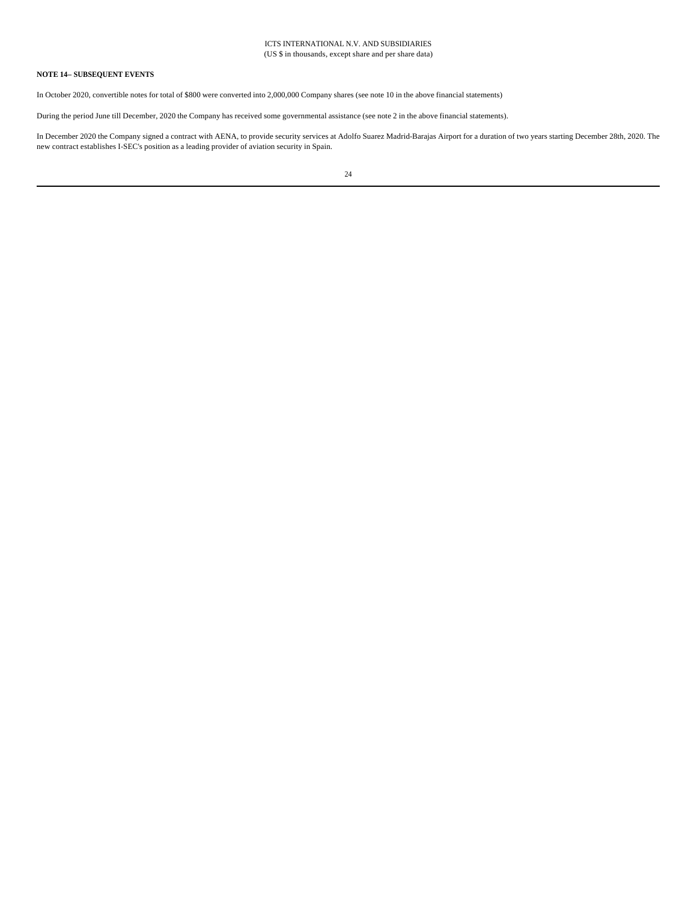#### ICTS INTERNATIONAL N.V. AND SUBSIDIARIES (US \$ in thousands, except share and per share data)

# **NOTE 14– SUBSEQUENT EVENTS**

In October 2020, convertible notes for total of \$800 were converted into 2,000,000 Company shares (see note 10 in the above financial statements)

During the period June till December, 2020 the Company has received some governmental assistance (see note 2 in the above financial statements).

In December 2020 the Company signed a contract with AENA, to provide security services at Adolfo Suarez Madrid-Barajas Airport for a duration of two years starting December 28th, 2020. The new contract establishes I-SEC's position as a leading provider of aviation security in Spain.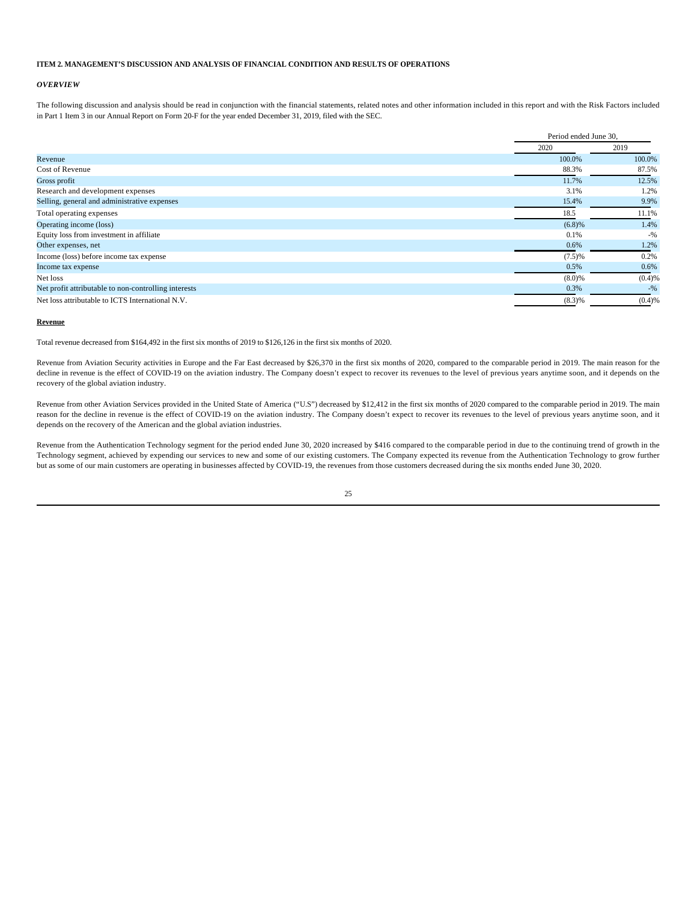# **ITEM 2. MANAGEMENT'S DISCUSSION AND ANALYSIS OF FINANCIAL CONDITION AND RESULTS OF OPERATIONS**

#### *OVERVIEW*

The following discussion and analysis should be read in conjunction with the financial statements, related notes and other information included in this report and with the Risk Factors included in Part 1 Item 3 in our Annual Report on Form 20-F for the year ended December 31, 2019, filed with the SEC.

|                                                      | Period ended June 30, |        |
|------------------------------------------------------|-----------------------|--------|
|                                                      | 2020                  | 2019   |
| Revenue                                              | 100.0%                | 100.0% |
| Cost of Revenue                                      | 88.3%                 | 87.5%  |
| Gross profit                                         | 11.7%                 | 12.5%  |
| Research and development expenses                    | 3.1%                  | 1.2%   |
| Selling, general and administrative expenses         | 15.4%                 | 9.9%   |
| Total operating expenses                             | 18.5                  | 11.1%  |
| Operating income (loss)                              | (6.8)%                | 1.4%   |
| Equity loss from investment in affiliate             | 0.1%                  | $-9/6$ |
| Other expenses, net                                  | 0.6%                  | 1.2%   |
| Income (loss) before income tax expense              | (7.5)%                | 0.2%   |
| Income tax expense                                   | 0.5%                  | 0.6%   |
| Net loss                                             | (8.0)%                | (0.4)% |
| Net profit attributable to non-controlling interests | 0.3%                  | $-9/6$ |
| Net loss attributable to ICTS International N.V.     | (8.3)%                | (0.4)% |

#### **Revenue**

Total revenue decreased from \$164,492 in the first six months of 2019 to \$126,126 in the first six months of 2020.

Revenue from Aviation Security activities in Europe and the Far East decreased by \$26,370 in the first six months of 2020, compared to the comparable period in 2019. The main reason for the decline in revenue is the effect of COVID-19 on the aviation industry. The Company doesn't expect to recover its revenues to the level of previous years anytime soon, and it depends on the recovery of the global aviation industry.

Revenue from other Aviation Services provided in the United State of America ("U.S") decreased by \$12,412 in the first six months of 2020 compared to the comparable period in 2019. The main reason for the decline in revenue is the effect of COVID-19 on the aviation industry. The Company doesn't expect to recover its revenues to the level of previous years anytime soon, and it depends on the recovery of the American and the global aviation industries.

Revenue from the Authentication Technology segment for the period ended June 30, 2020 increased by \$416 compared to the comparable period in due to the continuing trend of growth in the Technology segment, achieved by expending our services to new and some of our existing customers. The Company expected its revenue from the Authentication Technology to grow further but as some of our main customers are operating in businesses affected by COVID-19, the revenues from those customers decreased during the six months ended June 30, 2020.

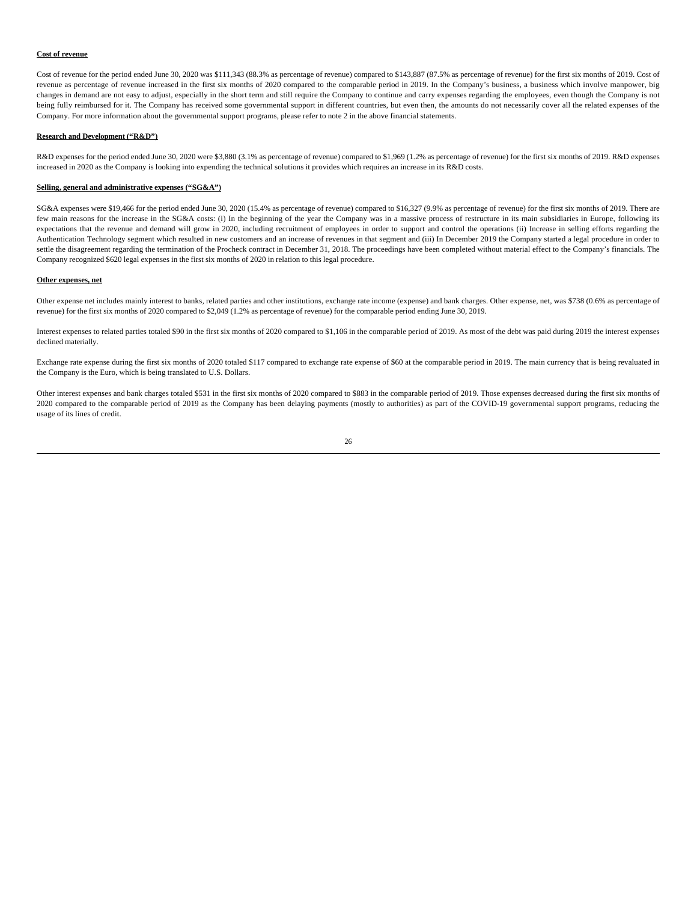#### **Cost of revenue**

Cost of revenue for the period ended June 30, 2020 was \$111,343 (88.3% as percentage of revenue) compared to \$143,887 (87.5% as percentage of revenue) for the first six months of 2019. Cost of revenue as percentage of revenue increased in the first six months of 2020 compared to the comparable period in 2019. In the Company's business, a business which involve manpower, big changes in demand are not easy to adjust, especially in the short term and still require the Company to continue and carry expenses regarding the employees, even though the Company is not being fully reimbursed for it. The Company has received some governmental support in different countries, but even then, the amounts do not necessarily cover all the related expenses of the Company. For more information about the governmental support programs, please refer to note 2 in the above financial statements.

#### **Research and Development ("R&D")**

R&D expenses for the period ended June 30, 2020 were \$3,880 (3.1% as percentage of revenue) compared to \$1,969 (1.2% as percentage of revenue) for the first six months of 2019. R&D expenses increased in 2020 as the Company is looking into expending the technical solutions it provides which requires an increase in its R&D costs.

#### **Selling, general and administrative expenses ("SG&A")**

SG&A expenses were \$19,466 for the period ended June 30, 2020 (15.4% as percentage of revenue) compared to \$16,327 (9.9% as percentage of revenue) for the first six months of 2019. There are few main reasons for the increase in the SG&A costs: (i) In the beginning of the year the Company was in a massive process of restructure in its main subsidiaries in Europe, following its expectations that the revenue and demand will grow in 2020, including recruitment of employees in order to support and control the operations (ii) Increase in selling efforts regarding the Authentication Technology segment which resulted in new customers and an increase of revenues in that segment and (iii) In December 2019 the Company started a legal procedure in order to settle the disagreement regarding the termination of the Procheck contract in December 31, 2018. The proceedings have been completed without material effect to the Company's financials. The Company recognized \$620 legal expenses in the first six months of 2020 in relation to this legal procedure.

#### **Other expenses, net**

Other expense net includes mainly interest to banks, related parties and other institutions, exchange rate income (expense) and bank charges. Other expense, net, was \$738 (0.6% as percentage of revenue) for the first six months of 2020 compared to \$2,049 (1.2% as percentage of revenue) for the comparable period ending June 30, 2019.

Interest expenses to related parties totaled \$90 in the first six months of 2020 compared to \$1,106 in the comparable period of 2019. As most of the debt was paid during 2019 the interest expenses declined materially.

Exchange rate expense during the first six months of 2020 totaled \$117 compared to exchange rate expense of \$60 at the comparable period in 2019. The main currency that is being revaluated in the Company is the Euro, which is being translated to U.S. Dollars.

Other interest expenses and bank charges totaled \$531 in the first six months of 2020 compared to \$883 in the comparable period of 2019. Those expenses decreased during the first six months of 2020 compared to the comparable period of 2019 as the Company has been delaying payments (mostly to authorities) as part of the COVID-19 governmental support programs, reducing the usage of its lines of credit.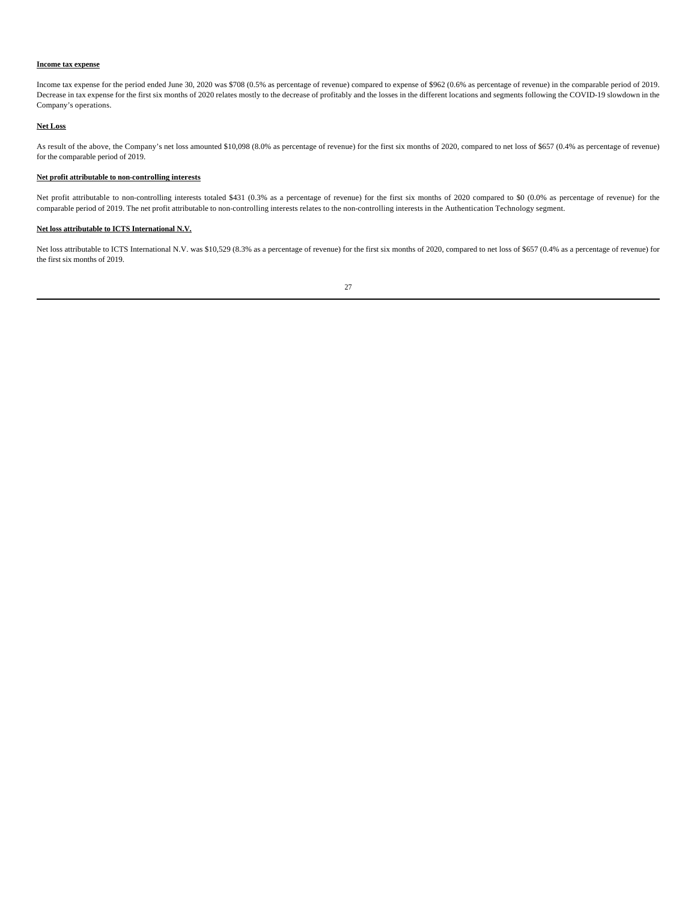#### **Income tax expense**

Income tax expense for the period ended June 30, 2020 was \$708 (0.5% as percentage of revenue) compared to expense of \$962 (0.6% as percentage of revenue) in the comparable period of 2019. Decrease in tax expense for the first six months of 2020 relates mostly to the decrease of profitably and the losses in the different locations and segments following the COVID-19 slowdown in the Company's operations.

# **Net Loss**

As result of the above, the Company's net loss amounted \$10,098 (8.0% as percentage of revenue) for the first six months of 2020, compared to net loss of \$657 (0.4% as percentage of revenue) for the comparable period of 2019.

## **Net profit attributable to non-controlling interests**

Net profit attributable to non-controlling interests totaled \$431 (0.3% as a percentage of revenue) for the first six months of 2020 compared to \$0 (0.0% as percentage of revenue) for the comparable period of 2019. The net profit attributable to non-controlling interests relates to the non-controlling interests in the Authentication Technology segment.

# **Net loss attributable to ICTS International N.V.**

Net loss attributable to ICTS International N.V. was \$10,529 (8.3% as a percentage of revenue) for the first six months of 2020, compared to net loss of \$657 (0.4% as a percentage of revenue) for the first six months of 2019.

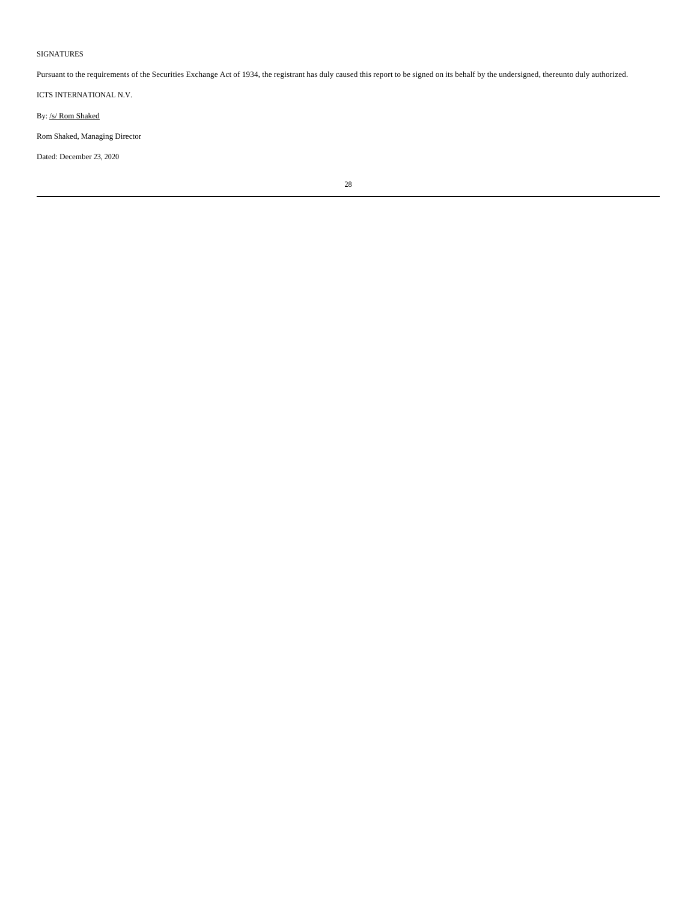#### SIGNATURES

Pursuant to the requirements of the Securities Exchange Act of 1934, the registrant has duly caused this report to be signed on its behalf by the undersigned, thereunto duly authorized.

ICTS INTERNATIONAL N.V.

By: /s/ Rom Shaked

Rom Shaked, Managing Director

Dated: December 23, 2020